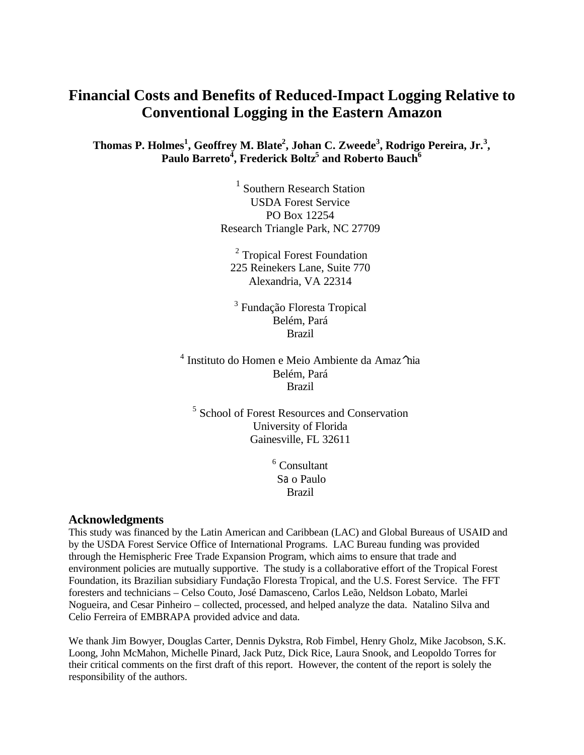# **Financial Costs and Benefits of Reduced-Impact Logging Relative to Conventional Logging in the Eastern Amazon**

## **Thomas P. Holmes<sup>1</sup> , Geoffrey M. Blate<sup>2</sup> , Johan C. Zweede<sup>3</sup> , Rodrigo Pereira, Jr.<sup>3</sup> , Paulo Barreto<sup>4</sup> , Frederick Boltz<sup>5</sup> and Roberto Bauch<sup>6</sup>**

<sup>1</sup> Southern Research Station USDA Forest Service PO Box 12254 Research Triangle Park, NC 27709

<sup>2</sup> Tropical Forest Foundation 225 Reinekers Lane, Suite 770 Alexandria, VA 22314

<sup>3</sup> Fundação Floresta Tropical Belém, Pará Brazil

4 Instituto do Homen e Meio Ambiente da Amaz^nia Belém, Pará Brazil

<sup>5</sup> School of Forest Resources and Conservation University of Florida Gainesville, FL 32611

> 6 Consultant Sao Paulo Brazil

#### **Acknowledgments**

This study was financed by the Latin American and Caribbean (LAC) and Global Bureaus of USAID and by the USDA Forest Service Office of International Programs. LAC Bureau funding was provided through the Hemispheric Free Trade Expansion Program, which aims to ensure that trade and environment policies are mutually supportive. The study is a collaborative effort of the Tropical Forest Foundation, its Brazilian subsidiary Fundação Floresta Tropical, and the U.S. Forest Service. The FFT foresters and technicians – Celso Couto, José Damasceno, Carlos Leão, Neldson Lobato, Marlei Nogueira, and Cesar Pinheiro – collected, processed, and helped analyze the data. Natalino Silva and Celio Ferreira of EMBRAPA provided advice and data.

We thank Jim Bowyer, Douglas Carter, Dennis Dykstra, Rob Fimbel, Henry Gholz, Mike Jacobson, S.K. Loong, John McMahon, Michelle Pinard, Jack Putz, Dick Rice, Laura Snook, and Leopoldo Torres for their critical comments on the first draft of this report. However, the content of the report is solely the responsibility of the authors.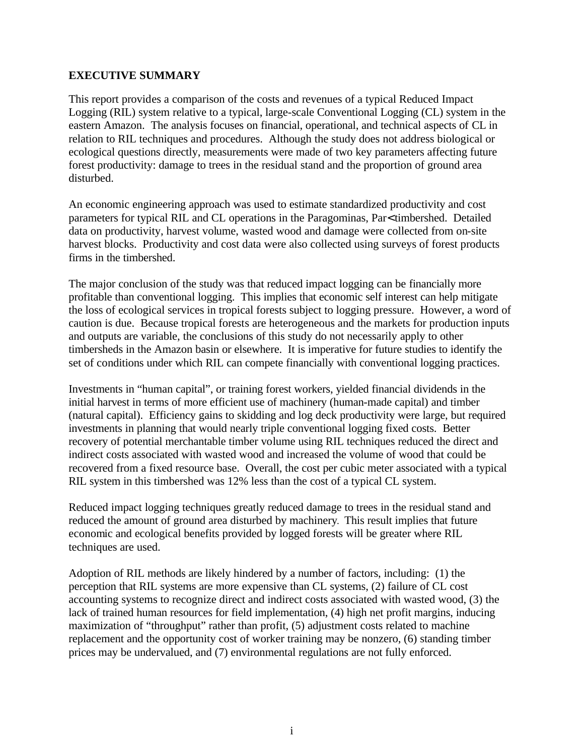## **EXECUTIVE SUMMARY**

This report provides a comparison of the costs and revenues of a typical Reduced Impact Logging (RIL) system relative to a typical, large-scale Conventional Logging (CL) system in the eastern Amazon. The analysis focuses on financial, operational, and technical aspects of CL in relation to RIL techniques and procedures. Although the study does not address biological or ecological questions directly, measurements were made of two key parameters affecting future forest productivity: damage to trees in the residual stand and the proportion of ground area disturbed.

An economic engineering approach was used to estimate standardized productivity and cost parameters for typical RIL and CL operations in the Paragominas, Par< timbershed. Detailed data on productivity, harvest volume, wasted wood and damage were collected from on-site harvest blocks. Productivity and cost data were also collected using surveys of forest products firms in the timbershed.

The major conclusion of the study was that reduced impact logging can be financially more profitable than conventional logging. This implies that economic self interest can help mitigate the loss of ecological services in tropical forests subject to logging pressure. However, a word of caution is due. Because tropical forests are heterogeneous and the markets for production inputs and outputs are variable, the conclusions of this study do not necessarily apply to other timbersheds in the Amazon basin or elsewhere. It is imperative for future studies to identify the set of conditions under which RIL can compete financially with conventional logging practices.

Investments in "human capital", or training forest workers, yielded financial dividends in the initial harvest in terms of more efficient use of machinery (human-made capital) and timber (natural capital). Efficiency gains to skidding and log deck productivity were large, but required investments in planning that would nearly triple conventional logging fixed costs. Better recovery of potential merchantable timber volume using RIL techniques reduced the direct and indirect costs associated with wasted wood and increased the volume of wood that could be recovered from a fixed resource base. Overall, the cost per cubic meter associated with a typical RIL system in this timbershed was 12% less than the cost of a typical CL system.

Reduced impact logging techniques greatly reduced damage to trees in the residual stand and reduced the amount of ground area disturbed by machinery. This result implies that future economic and ecological benefits provided by logged forests will be greater where RIL techniques are used.

Adoption of RIL methods are likely hindered by a number of factors, including: (1) the perception that RIL systems are more expensive than CL systems, (2) failure of CL cost accounting systems to recognize direct and indirect costs associated with wasted wood, (3) the lack of trained human resources for field implementation, (4) high net profit margins, inducing maximization of "throughput" rather than profit, (5) adjustment costs related to machine replacement and the opportunity cost of worker training may be nonzero, (6) standing timber prices may be undervalued, and (7) environmental regulations are not fully enforced.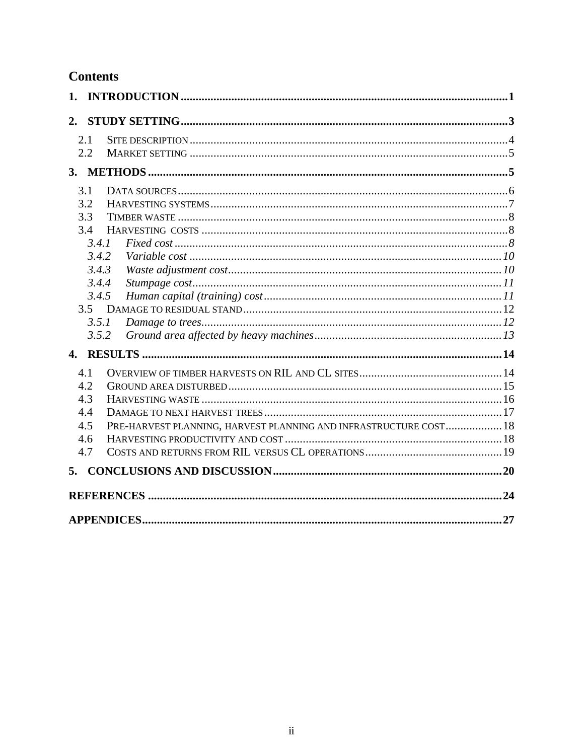# **Contents**

| 1.           |                                                                   |    |
|--------------|-------------------------------------------------------------------|----|
| 2.           |                                                                   |    |
| 2.1          |                                                                   |    |
| 2.2          |                                                                   |    |
|              |                                                                   |    |
| 3.1          |                                                                   |    |
| 3.2          |                                                                   |    |
| 3.3          |                                                                   |    |
| 3.4          |                                                                   |    |
|              | 3.4.1                                                             |    |
|              | 3.4.2                                                             |    |
|              | 3.4.3                                                             |    |
|              | 3.4.4                                                             |    |
|              | 3.4.5                                                             |    |
| 3.5          |                                                                   |    |
|              | 3.5.1                                                             |    |
|              | 3.5.2                                                             |    |
| $\mathbf{4}$ |                                                                   |    |
| 4.1          |                                                                   |    |
| 4.2          |                                                                   |    |
| 4.3          |                                                                   |    |
| 4.4          |                                                                   |    |
| 4.5          | PRE-HARVEST PLANNING, HARVEST PLANNING AND INFRASTRUCTURE COST 18 |    |
| 4.6          |                                                                   |    |
| 4.7          |                                                                   |    |
| 5.           |                                                                   |    |
|              |                                                                   |    |
|              |                                                                   |    |
|              |                                                                   | 27 |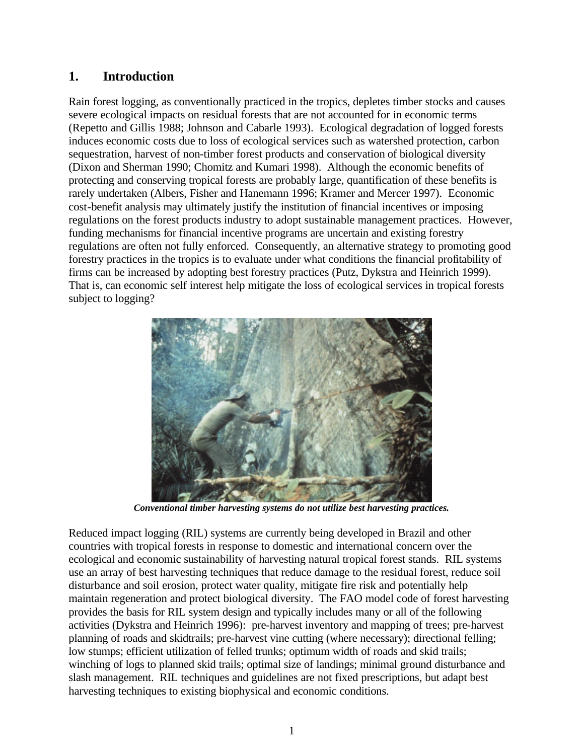## **1. Introduction**

Rain forest logging, as conventionally practiced in the tropics, depletes timber stocks and causes severe ecological impacts on residual forests that are not accounted for in economic terms (Repetto and Gillis 1988; Johnson and Cabarle 1993). Ecological degradation of logged forests induces economic costs due to loss of ecological services such as watershed protection, carbon sequestration, harvest of non-timber forest products and conservation of biological diversity (Dixon and Sherman 1990; Chomitz and Kumari 1998). Although the economic benefits of protecting and conserving tropical forests are probably large, quantification of these benefits is rarely undertaken (Albers, Fisher and Hanemann 1996; Kramer and Mercer 1997). Economic cost-benefit analysis may ultimately justify the institution of financial incentives or imposing regulations on the forest products industry to adopt sustainable management practices. However, funding mechanisms for financial incentive programs are uncertain and existing forestry regulations are often not fully enforced. Consequently, an alternative strategy to promoting good forestry practices in the tropics is to evaluate under what conditions the financial profitability of firms can be increased by adopting best forestry practices (Putz, Dykstra and Heinrich 1999). That is, can economic self interest help mitigate the loss of ecological services in tropical forests subject to logging?



*Conventional timber harvesting systems do not utilize best harvesting practices.*

Reduced impact logging (RIL) systems are currently being developed in Brazil and other countries with tropical forests in response to domestic and international concern over the ecological and economic sustainability of harvesting natural tropical forest stands. RIL systems use an array of best harvesting techniques that reduce damage to the residual forest, reduce soil disturbance and soil erosion, protect water quality, mitigate fire risk and potentially help maintain regeneration and protect biological diversity. The FAO model code of forest harvesting provides the basis for RIL system design and typically includes many or all of the following activities (Dykstra and Heinrich 1996): pre-harvest inventory and mapping of trees; pre-harvest planning of roads and skidtrails; pre-harvest vine cutting (where necessary); directional felling; low stumps; efficient utilization of felled trunks; optimum width of roads and skid trails; winching of logs to planned skid trails; optimal size of landings; minimal ground disturbance and slash management. RIL techniques and guidelines are not fixed prescriptions, but adapt best harvesting techniques to existing biophysical and economic conditions.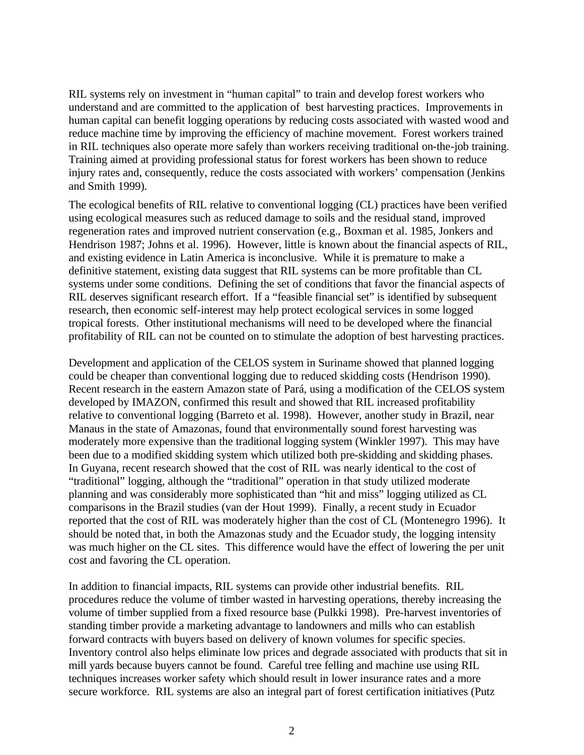RIL systems rely on investment in "human capital" to train and develop forest workers who understand and are committed to the application of best harvesting practices. Improvements in human capital can benefit logging operations by reducing costs associated with wasted wood and reduce machine time by improving the efficiency of machine movement. Forest workers trained in RIL techniques also operate more safely than workers receiving traditional on-the-job training. Training aimed at providing professional status for forest workers has been shown to reduce injury rates and, consequently, reduce the costs associated with workers' compensation (Jenkins and Smith 1999).

The ecological benefits of RIL relative to conventional logging (CL) practices have been verified using ecological measures such as reduced damage to soils and the residual stand, improved regeneration rates and improved nutrient conservation (e.g., Boxman et al. 1985, Jonkers and Hendrison 1987; Johns et al. 1996). However, little is known about the financial aspects of RIL, and existing evidence in Latin America is inconclusive. While it is premature to make a definitive statement, existing data suggest that RIL systems can be more profitable than CL systems under some conditions. Defining the set of conditions that favor the financial aspects of RIL deserves significant research effort. If a "feasible financial set" is identified by subsequent research, then economic self-interest may help protect ecological services in some logged tropical forests. Other institutional mechanisms will need to be developed where the financial profitability of RIL can not be counted on to stimulate the adoption of best harvesting practices.

Development and application of the CELOS system in Suriname showed that planned logging could be cheaper than conventional logging due to reduced skidding costs (Hendrison 1990). Recent research in the eastern Amazon state of Pará, using a modification of the CELOS system developed by IMAZON, confirmed this result and showed that RIL increased profitability relative to conventional logging (Barreto et al. 1998). However, another study in Brazil, near Manaus in the state of Amazonas, found that environmentally sound forest harvesting was moderately more expensive than the traditional logging system (Winkler 1997). This may have been due to a modified skidding system which utilized both pre-skidding and skidding phases. In Guyana, recent research showed that the cost of RIL was nearly identical to the cost of "traditional" logging, although the "traditional" operation in that study utilized moderate planning and was considerably more sophisticated than "hit and miss" logging utilized as CL comparisons in the Brazil studies (van der Hout 1999). Finally, a recent study in Ecuador reported that the cost of RIL was moderately higher than the cost of CL (Montenegro 1996). It should be noted that, in both the Amazonas study and the Ecuador study, the logging intensity was much higher on the CL sites. This difference would have the effect of lowering the per unit cost and favoring the CL operation.

In addition to financial impacts, RIL systems can provide other industrial benefits. RIL procedures reduce the volume of timber wasted in harvesting operations, thereby increasing the volume of timber supplied from a fixed resource base (Pulkki 1998). Pre-harvest inventories of standing timber provide a marketing advantage to landowners and mills who can establish forward contracts with buyers based on delivery of known volumes for specific species. Inventory control also helps eliminate low prices and degrade associated with products that sit in mill yards because buyers cannot be found. Careful tree felling and machine use using RIL techniques increases worker safety which should result in lower insurance rates and a more secure workforce. RIL systems are also an integral part of forest certification initiatives (Putz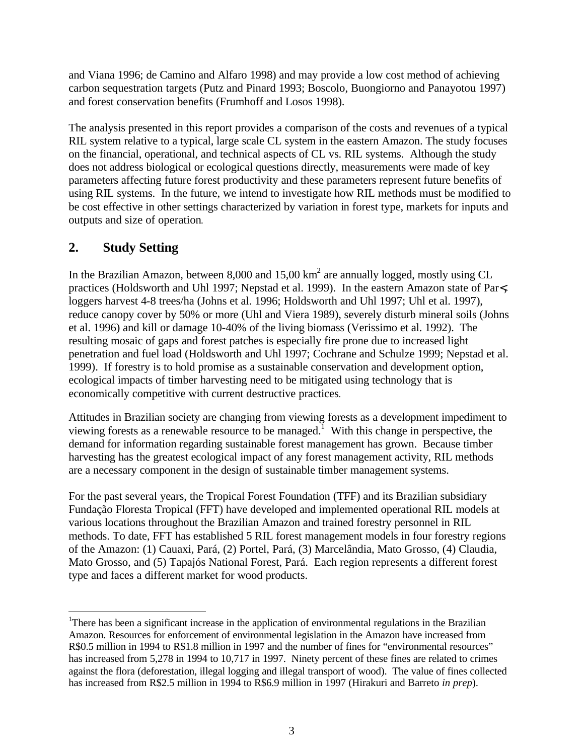and Viana 1996; de Camino and Alfaro 1998) and may provide a low cost method of achieving carbon sequestration targets (Putz and Pinard 1993; Boscolo, Buongiorno and Panayotou 1997) and forest conservation benefits (Frumhoff and Losos 1998).

The analysis presented in this report provides a comparison of the costs and revenues of a typical RIL system relative to a typical, large scale CL system in the eastern Amazon. The study focuses on the financial, operational, and technical aspects of CL vs. RIL systems. Although the study does not address biological or ecological questions directly, measurements were made of key parameters affecting future forest productivity and these parameters represent future benefits of using RIL systems. In the future, we intend to investigate how RIL methods must be modified to be cost effective in other settings characterized by variation in forest type, markets for inputs and outputs and size of operation.

# **2. Study Setting**

 $\overline{a}$ 

In the Brazilian Amazon, between 8,000 and 15,00  $km^2$  are annually logged, mostly using CL practices (Holdsworth and Uhl 1997; Nepstad et al. 1999). In the eastern Amazon state of Par<, loggers harvest 4-8 trees/ha (Johns et al. 1996; Holdsworth and Uhl 1997; Uhl et al. 1997), reduce canopy cover by 50% or more (Uhl and Viera 1989), severely disturb mineral soils (Johns et al. 1996) and kill or damage 10-40% of the living biomass (Verissimo et al. 1992). The resulting mosaic of gaps and forest patches is especially fire prone due to increased light penetration and fuel load (Holdsworth and Uhl 1997; Cochrane and Schulze 1999; Nepstad et al. 1999). If forestry is to hold promise as a sustainable conservation and development option, ecological impacts of timber harvesting need to be mitigated using technology that is economically competitive with current destructive practices.

Attitudes in Brazilian society are changing from viewing forests as a development impediment to viewing forests as a renewable resource to be managed.<sup>1</sup> With this change in perspective, the demand for information regarding sustainable forest management has grown. Because timber harvesting has the greatest ecological impact of any forest management activity, RIL methods are a necessary component in the design of sustainable timber management systems.

For the past several years, the Tropical Forest Foundation (TFF) and its Brazilian subsidiary Fundação Floresta Tropical (FFT) have developed and implemented operational RIL models at various locations throughout the Brazilian Amazon and trained forestry personnel in RIL methods. To date, FFT has established 5 RIL forest management models in four forestry regions of the Amazon: (1) Cauaxi, Pará, (2) Portel, Pará, (3) Marcelândia, Mato Grosso, (4) Claudia, Mato Grosso, and (5) Tapajós National Forest, Pará. Each region represents a different forest type and faces a different market for wood products.

<sup>1</sup>There has been a significant increase in the application of environmental regulations in the Brazilian Amazon. Resources for enforcement of environmental legislation in the Amazon have increased from R\$0.5 million in 1994 to R\$1.8 million in 1997 and the number of fines for "environmental resources" has increased from 5,278 in 1994 to 10,717 in 1997. Ninety percent of these fines are related to crimes against the flora (deforestation, illegal logging and illegal transport of wood). The value of fines collected has increased from R\$2.5 million in 1994 to R\$6.9 million in 1997 (Hirakuri and Barreto *in prep*).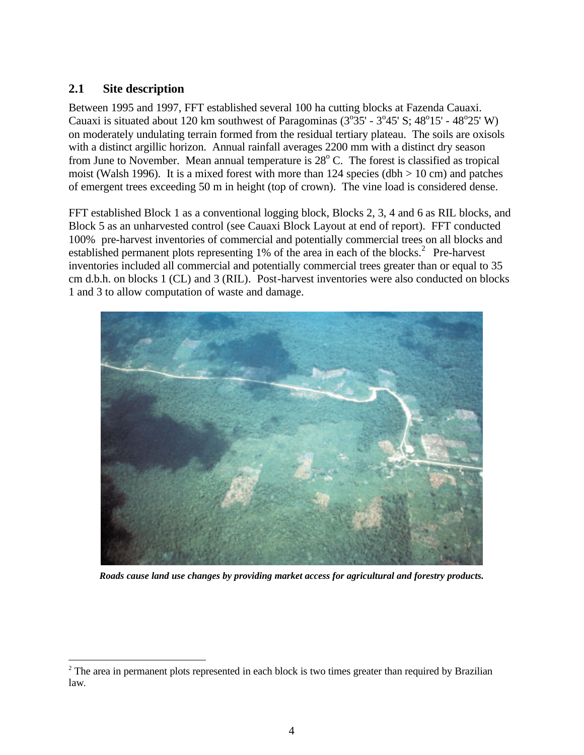## **2.1 Site description**

 $\overline{a}$ 

Between 1995 and 1997, FFT established several 100 ha cutting blocks at Fazenda Cauaxi. Cauaxi is situated about 120 km southwest of Paragominas  $(3^{\circ}35' - 3^{\circ}45' S; 48^{\circ}15' - 48^{\circ}25' W)$ on moderately undulating terrain formed from the residual tertiary plateau. The soils are oxisols with a distinct argillic horizon. Annual rainfall averages 2200 mm with a distinct dry season from June to November. Mean annual temperature is  $28^{\circ}$  C. The forest is classified as tropical moist (Walsh 1996). It is a mixed forest with more than 124 species (dbh  $> 10$  cm) and patches of emergent trees exceeding 50 m in height (top of crown). The vine load is considered dense.

FFT established Block 1 as a conventional logging block, Blocks 2, 3, 4 and 6 as RIL blocks, and Block 5 as an unharvested control (see Cauaxi Block Layout at end of report). FFT conducted 100% pre-harvest inventories of commercial and potentially commercial trees on all blocks and established permanent plots representing  $1\%$  of the area in each of the blocks.<sup>2</sup> Pre-harvest inventories included all commercial and potentially commercial trees greater than or equal to 35 cm d.b.h. on blocks 1 (CL) and 3 (RIL). Post-harvest inventories were also conducted on blocks 1 and 3 to allow computation of waste and damage.



*Roads cause land use changes by providing market access for agricultural and forestry products.*

<sup>&</sup>lt;sup>2</sup> The area in permanent plots represented in each block is two times greater than required by Brazilian law.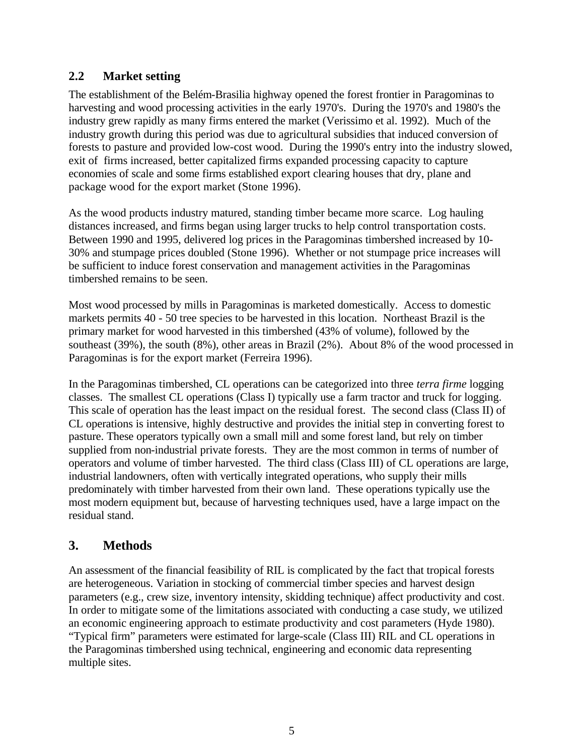## **2.2 Market setting**

The establishment of the Belém-Brasilia highway opened the forest frontier in Paragominas to harvesting and wood processing activities in the early 1970's. During the 1970's and 1980's the industry grew rapidly as many firms entered the market (Verissimo et al. 1992). Much of the industry growth during this period was due to agricultural subsidies that induced conversion of forests to pasture and provided low-cost wood. During the 1990's entry into the industry slowed, exit of firms increased, better capitalized firms expanded processing capacity to capture economies of scale and some firms established export clearing houses that dry, plane and package wood for the export market (Stone 1996).

As the wood products industry matured, standing timber became more scarce. Log hauling distances increased, and firms began using larger trucks to help control transportation costs. Between 1990 and 1995, delivered log prices in the Paragominas timbershed increased by 10- 30% and stumpage prices doubled (Stone 1996). Whether or not stumpage price increases will be sufficient to induce forest conservation and management activities in the Paragominas timbershed remains to be seen.

Most wood processed by mills in Paragominas is marketed domestically. Access to domestic markets permits 40 - 50 tree species to be harvested in this location. Northeast Brazil is the primary market for wood harvested in this timbershed (43% of volume), followed by the southeast (39%), the south (8%), other areas in Brazil (2%). About 8% of the wood processed in Paragominas is for the export market (Ferreira 1996).

In the Paragominas timbershed, CL operations can be categorized into three *terra firme* logging classes. The smallest CL operations (Class I) typically use a farm tractor and truck for logging. This scale of operation has the least impact on the residual forest. The second class (Class II) of CL operations is intensive, highly destructive and provides the initial step in converting forest to pasture. These operators typically own a small mill and some forest land, but rely on timber supplied from non-industrial private forests. They are the most common in terms of number of operators and volume of timber harvested. The third class (Class III) of CL operations are large, industrial landowners, often with vertically integrated operations, who supply their mills predominately with timber harvested from their own land. These operations typically use the most modern equipment but, because of harvesting techniques used, have a large impact on the residual stand.

# **3. Methods**

An assessment of the financial feasibility of RIL is complicated by the fact that tropical forests are heterogeneous. Variation in stocking of commercial timber species and harvest design parameters (e.g., crew size, inventory intensity, skidding technique) affect productivity and cost. In order to mitigate some of the limitations associated with conducting a case study, we utilized an economic engineering approach to estimate productivity and cost parameters (Hyde 1980). "Typical firm" parameters were estimated for large-scale (Class III) RIL and CL operations in the Paragominas timbershed using technical, engineering and economic data representing multiple sites.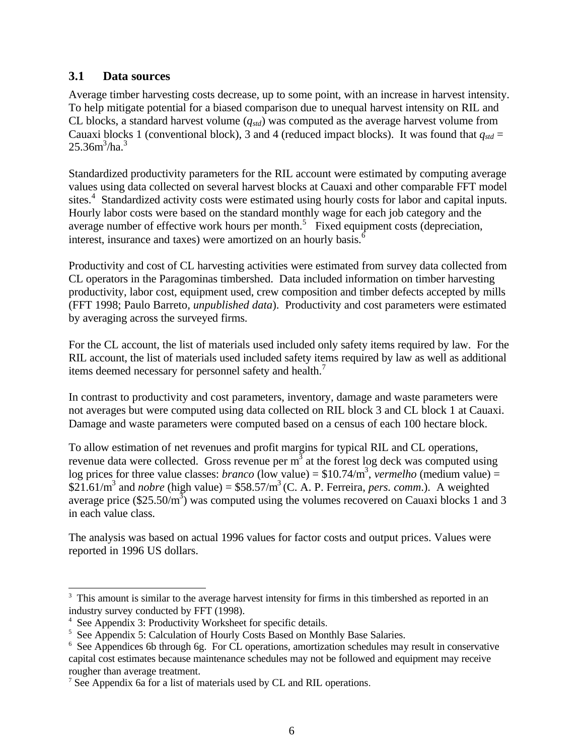## **3.1 Data sources**

Average timber harvesting costs decrease, up to some point, with an increase in harvest intensity. To help mitigate potential for a biased comparison due to unequal harvest intensity on RIL and CL blocks, a standard harvest volume (*qstd*) was computed as the average harvest volume from Cauaxi blocks 1 (conventional block), 3 and 4 (reduced impact blocks). It was found that  $q_{std}$  =  $25.36m^3/ha.^3$ 

Standardized productivity parameters for the RIL account were estimated by computing average values using data collected on several harvest blocks at Cauaxi and other comparable FFT model sites.<sup>4</sup> Standardized activity costs were estimated using hourly costs for labor and capital inputs. Hourly labor costs were based on the standard monthly wage for each job category and the average number of effective work hours per month.<sup>5</sup> Fixed equipment costs (depreciation, interest, insurance and taxes) were amortized on an hourly basis.<sup>6</sup>

Productivity and cost of CL harvesting activities were estimated from survey data collected from CL operators in the Paragominas timbershed. Data included information on timber harvesting productivity, labor cost, equipment used, crew composition and timber defects accepted by mills (FFT 1998; Paulo Barreto*, unpublished data*). Productivity and cost parameters were estimated by averaging across the surveyed firms.

For the CL account, the list of materials used included only safety items required by law. For the RIL account, the list of materials used included safety items required by law as well as additional items deemed necessary for personnel safety and health.<sup>7</sup>

In contrast to productivity and cost parameters, inventory, damage and waste parameters were not averages but were computed using data collected on RIL block 3 and CL block 1 at Cauaxi. Damage and waste parameters were computed based on a census of each 100 hectare block.

To allow estimation of net revenues and profit margins for typical RIL and CL operations, revenue data were collected. Gross revenue per  $m<sup>3</sup>$  at the forest log deck was computed using log prices for three value classes: *branco* (low value) =  $$10.74/m^3$ , *vermelho* (medium value) = \$21.61/m<sup>3</sup> and *nobre* (high value) = \$58.57/m<sup>3</sup> (C. A. P. Ferreira, *pers. comm.*). A weighted average price (\$25.50/ $m^3$ ) was computed using the volumes recovered on Cauaxi blocks 1 and 3 in each value class.

The analysis was based on actual 1996 values for factor costs and output prices. Values were reported in 1996 US dollars.

 $\overline{a}$ <sup>3</sup> This amount is similar to the average harvest intensity for firms in this timbershed as reported in an industry survey conducted by FFT (1998).

<sup>4</sup> See Appendix 3: Productivity Worksheet for specific details.

<sup>&</sup>lt;sup>5</sup> See Appendix 5: Calculation of Hourly Costs Based on Monthly Base Salaries.

<sup>&</sup>lt;sup>6</sup> See Appendices 6b through 6g. For CL operations, amortization schedules may result in conservative capital cost estimates because maintenance schedules may not be followed and equipment may receive rougher than average treatment.

<sup>7</sup> See Appendix 6a for a list of materials used by CL and RIL operations.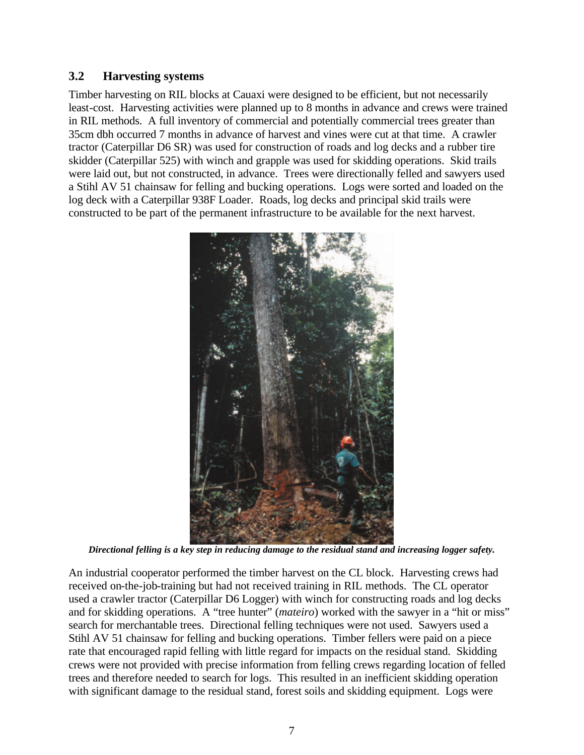## **3.2 Harvesting systems**

Timber harvesting on RIL blocks at Cauaxi were designed to be efficient, but not necessarily least-cost. Harvesting activities were planned up to 8 months in advance and crews were trained in RIL methods. A full inventory of commercial and potentially commercial trees greater than 35cm dbh occurred 7 months in advance of harvest and vines were cut at that time. A crawler tractor (Caterpillar D6 SR) was used for construction of roads and log decks and a rubber tire skidder (Caterpillar 525) with winch and grapple was used for skidding operations. Skid trails were laid out, but not constructed, in advance. Trees were directionally felled and sawyers used a Stihl AV 51 chainsaw for felling and bucking operations. Logs were sorted and loaded on the log deck with a Caterpillar 938F Loader. Roads, log decks and principal skid trails were constructed to be part of the permanent infrastructure to be available for the next harvest.



*Directional felling is a key step in reducing damage to the residual stand and increasing logger safety.*

An industrial cooperator performed the timber harvest on the CL block. Harvesting crews had received on-the-job-training but had not received training in RIL methods. The CL operator used a crawler tractor (Caterpillar D6 Logger) with winch for constructing roads and log decks and for skidding operations. A "tree hunter" (*mateiro*) worked with the sawyer in a "hit or miss" search for merchantable trees. Directional felling techniques were not used. Sawyers used a Stihl AV 51 chainsaw for felling and bucking operations. Timber fellers were paid on a piece rate that encouraged rapid felling with little regard for impacts on the residual stand. Skidding crews were not provided with precise information from felling crews regarding location of felled trees and therefore needed to search for logs. This resulted in an inefficient skidding operation with significant damage to the residual stand, forest soils and skidding equipment. Logs were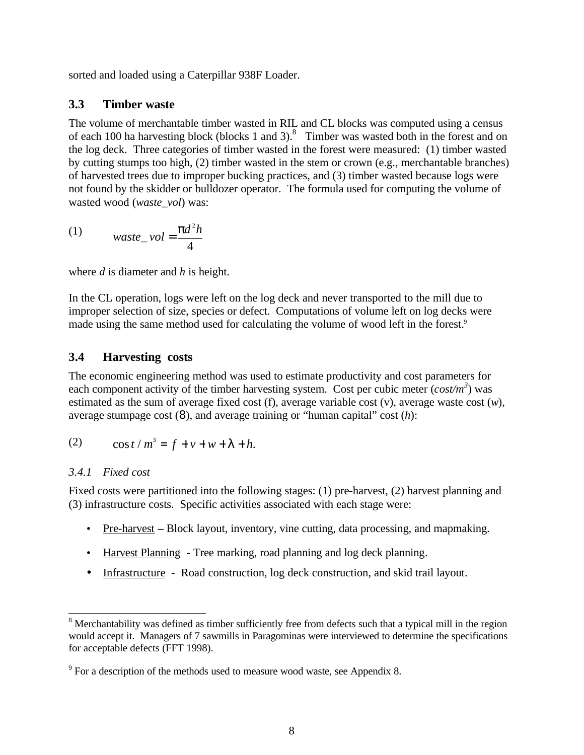sorted and loaded using a Caterpillar 938F Loader.

## **3.3 Timber waste**

The volume of merchantable timber wasted in RIL and CL blocks was computed using a census of each 100 ha harvesting block (blocks 1 and 3).<sup>8</sup> Timber was wasted both in the forest and on the log deck. Three categories of timber wasted in the forest were measured: (1) timber wasted by cutting stumps too high, (2) timber wasted in the stem or crown (e.g., merchantable branches) of harvested trees due to improper bucking practices, and (3) timber wasted because logs were not found by the skidder or bulldozer operator. The formula used for computing the volume of wasted wood (*waste\_vol*) was:

$$
(1) \qquad \text{waste\_vol} = \frac{\mathbf{p}d^2h}{4}
$$

where *d* is diameter and *h* is height.

In the CL operation, logs were left on the log deck and never transported to the mill due to improper selection of size, species or defect. Computations of volume left on log decks were made using the same method used for calculating the volume of wood left in the forest.<sup>9</sup>

## **3.4 Harvesting costs**

The economic engineering method was used to estimate productivity and cost parameters for each component activity of the timber harvesting system. Cost per cubic meter  $(cost/m<sup>3</sup>)$  was estimated as the sum of average fixed cost (f), average variable cost (v), average waste cost (*w*), average stumpage cost (8), and average training or "human capital" cost (*h*):

(2) 
$$
\cos t / m^3 = f + v + w + I + h.
$$

### *3.4.1 Fixed cost*

 $\overline{a}$ 

Fixed costs were partitioned into the following stages: (1) pre-harvest, (2) harvest planning and (3) infrastructure costs. Specific activities associated with each stage were:

- Pre-harvest Block layout, inventory, vine cutting, data processing, and mapmaking.
- Harvest Planning Tree marking, road planning and log deck planning.
- Infrastructure Road construction, log deck construction, and skid trail layout.

<sup>&</sup>lt;sup>8</sup> Merchantability was defined as timber sufficiently free from defects such that a typical mill in the region would accept it. Managers of 7 sawmills in Paragominas were interviewed to determine the specifications for acceptable defects (FFT 1998).

 $9^9$  For a description of the methods used to measure wood waste, see Appendix 8.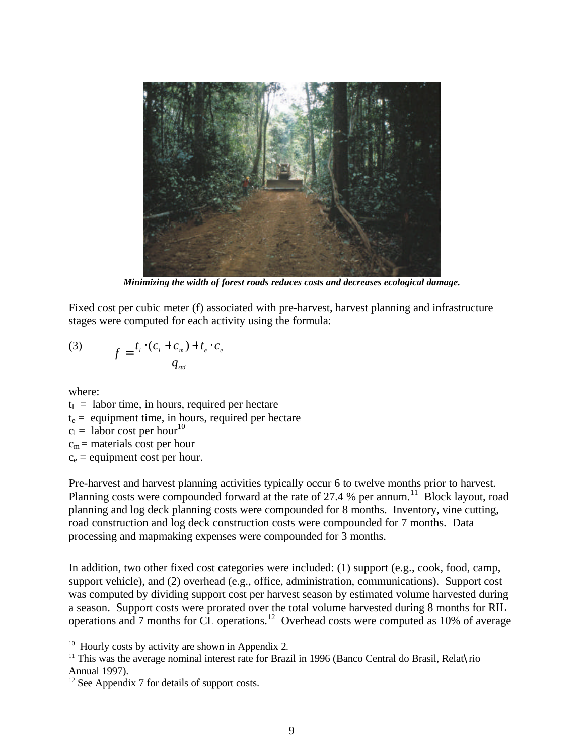

*Minimizing the width of forest roads reduces costs and decreases ecological damage.*

Fixed cost per cubic meter (f) associated with pre-harvest, harvest planning and infrastructure stages were computed for each activity using the formula:

(3) 
$$
f = \frac{t_i \cdot (c_i + c_m) + t_e \cdot c_e}{q_{sd}}
$$

where:

 $t_1$  = labor time, in hours, required per hectare  $t<sub>e</sub>$  = equipment time, in hours, required per hectare  $c_1$  = labor cost per hour<sup>10</sup>  $c_m$  = materials cost per hour  $c_e$  = equipment cost per hour.

Pre-harvest and harvest planning activities typically occur 6 to twelve months prior to harvest. Planning costs were compounded forward at the rate of 27.4 % per annum.<sup>11</sup> Block layout, road planning and log deck planning costs were compounded for 8 months. Inventory, vine cutting, road construction and log deck construction costs were compounded for 7 months. Data processing and mapmaking expenses were compounded for 3 months.

In addition, two other fixed cost categories were included: (1) support (e.g., cook, food, camp, support vehicle), and (2) overhead (e.g., office, administration, communications). Support cost was computed by dividing support cost per harvest season by estimated volume harvested during a season. Support costs were prorated over the total volume harvested during 8 months for RIL operations and 7 months for CL operations.<sup>12</sup> Overhead costs were computed as 10% of average

<sup>&</sup>lt;sup>10</sup> Hourly costs by activity are shown in Appendix 2.

<sup>&</sup>lt;sup>11</sup> This was the average nominal interest rate for Brazil in 1996 (Banco Central do Brasil, Relat $\chi$ rio Annual 1997).

<sup>&</sup>lt;sup>12</sup> See Appendix 7 for details of support costs.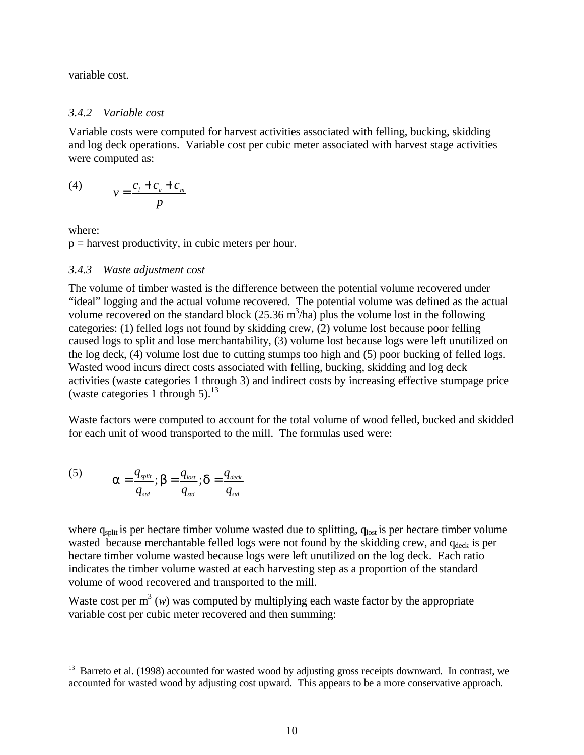variable cost.

#### *3.4.2 Variable cost*

Variable costs were computed for harvest activities associated with felling, bucking, skidding and log deck operations. Variable cost per cubic meter associated with harvest stage activities were computed as:

$$
(4) \t v = \frac{c_i + c_e + c_m}{p}
$$

where:

 $\overline{a}$ 

 $p =$  harvest productivity, in cubic meters per hour.

#### *3.4.3 Waste adjustment cost*

The volume of timber wasted is the difference between the potential volume recovered under "ideal" logging and the actual volume recovered. The potential volume was defined as the actual volume recovered on the standard block  $(25.36 \text{ m}^3/\text{ha})$  plus the volume lost in the following categories: (1) felled logs not found by skidding crew, (2) volume lost because poor felling caused logs to split and lose merchantability, (3) volume lost because logs were left unutilized on the log deck, (4) volume lost due to cutting stumps too high and (5) poor bucking of felled logs. Wasted wood incurs direct costs associated with felling, bucking, skidding and log deck activities (waste categories 1 through 3) and indirect costs by increasing effective stumpage price (waste categories 1 through 5).<sup>13</sup>

Waste factors were computed to account for the total volume of wood felled, bucked and skidded for each unit of wood transported to the mill. The formulas used were:

(5) 
$$
\mathbf{a} = \frac{q_{split}}{q_{_{std}}}; \mathbf{b} = \frac{q_{_{lost}}}{q_{_{std}}}; \mathbf{d} = \frac{q_{_{deck}}}{q_{_{std}}}
$$

where  $q_{split}$  is per hectare timber volume wasted due to splitting,  $q_{lost}$  is per hectare timber volume wasted because merchantable felled logs were not found by the skidding crew, and qdeck is per hectare timber volume wasted because logs were left unutilized on the log deck. Each ratio indicates the timber volume wasted at each harvesting step as a proportion of the standard volume of wood recovered and transported to the mill.

Waste cost per  $m<sup>3</sup>$  (*w*) was computed by multiplying each waste factor by the appropriate variable cost per cubic meter recovered and then summing:

<sup>&</sup>lt;sup>13</sup> Barreto et al. (1998) accounted for wasted wood by adjusting gross receipts downward. In contrast, we accounted for wasted wood by adjusting cost upward. This appears to be a more conservative approach.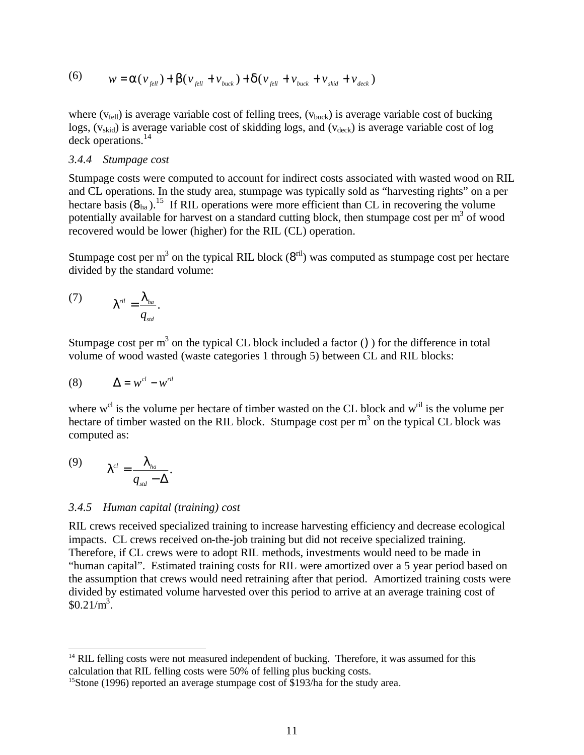(6) 
$$
w = a(v_{\text{full}}) + b(v_{\text{full}} + v_{\text{back}}) + d(v_{\text{full}} + v_{\text{back}} + v_{\text{stick}} + v_{\text{skid}} + v_{\text{deck}})
$$

where ( $v_{\text{fell}}$ ) is average variable cost of felling trees, ( $v_{\text{buck}}$ ) is average variable cost of bucking  $\log s$ , ( $v_{\text{skid}}$ ) is average variable cost of skidding logs, and ( $v_{\text{deck}}$ ) is average variable cost of log deck operations.<sup>14</sup>

### *3.4.4 Stumpage cost*

Stumpage costs were computed to account for indirect costs associated with wasted wood on RIL and CL operations. In the study area, stumpage was typically sold as "harvesting rights" on a per hectare basis  $(\mathbf{8}_{ha})$ .<sup>15</sup> If RIL operations were more efficient than CL in recovering the volume potentially available for harvest on a standard cutting block, then stumpage cost per  $m<sup>3</sup>$  of wood recovered would be lower (higher) for the RIL (CL) operation.

Stumpage cost per m<sup>3</sup> on the typical RIL block ( $8^{ril}$ ) was computed as stumpage cost per hectare divided by the standard volume:

$$
(7) \t Iril = \frac{Iha}{qstd}.
$$

Stumpage cost per  $m<sup>3</sup>$  on the typical CL block included a factor () ) for the difference in total volume of wood wasted (waste categories 1 through 5) between CL and RIL blocks:

$$
(8) \qquad \Delta = w^{cl} - w^{ril}
$$

where  $w^{cl}$  is the volume per hectare of timber wasted on the CL block and  $w^{ril}$  is the volume per hectare of timber wasted on the RIL block. Stumpage cost per  $m<sup>3</sup>$  on the typical CL block was computed as:

$$
(9) \t Icl = \frac{Iha}{qsd - \Delta}.
$$

 $\overline{a}$ 

#### *3.4.5 Human capital (training) cost*

RIL crews received specialized training to increase harvesting efficiency and decrease ecological impacts. CL crews received on-the-job training but did not receive specialized training. Therefore, if CL crews were to adopt RIL methods, investments would need to be made in "human capital". Estimated training costs for RIL were amortized over a 5 year period based on the assumption that crews would need retraining after that period. Amortized training costs were divided by estimated volume harvested over this period to arrive at an average training cost of  $$0.21/m^3$ .

<sup>&</sup>lt;sup>14</sup> RIL felling costs were not measured independent of bucking. Therefore, it was assumed for this calculation that RIL felling costs were 50% of felling plus bucking costs.

<sup>&</sup>lt;sup>15</sup>Stone (1996) reported an average stumpage cost of \$193/ha for the study area.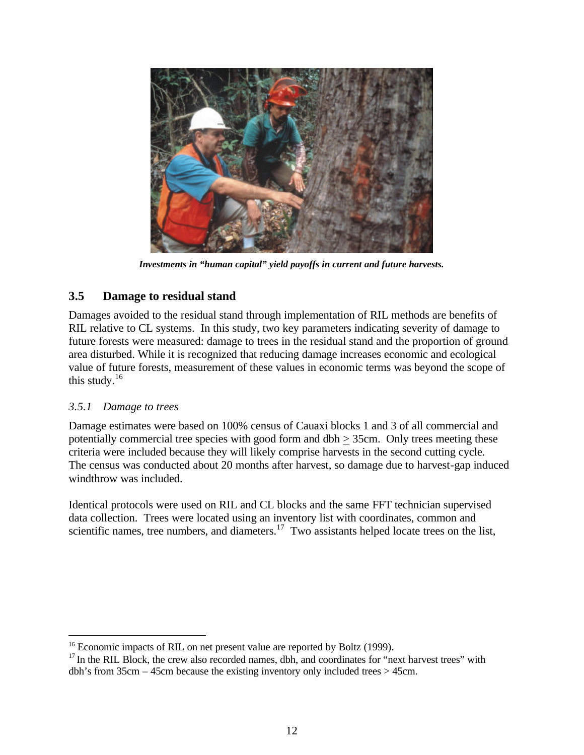

*Investments in "human capital" yield payoffs in current and future harvests.*

## **3.5 Damage to residual stand**

Damages avoided to the residual stand through implementation of RIL methods are benefits of RIL relative to CL systems. In this study, two key parameters indicating severity of damage to future forests were measured: damage to trees in the residual stand and the proportion of ground area disturbed. While it is recognized that reducing damage increases economic and ecological value of future forests, measurement of these values in economic terms was beyond the scope of this study. $16$ 

## *3.5.1 Damage to trees*

-

Damage estimates were based on 100% census of Cauaxi blocks 1 and 3 of all commercial and potentially commercial tree species with good form and dbh  $\geq$  35cm. Only trees meeting these criteria were included because they will likely comprise harvests in the second cutting cycle. The census was conducted about 20 months after harvest, so damage due to harvest-gap induced windthrow was included.

Identical protocols were used on RIL and CL blocks and the same FFT technician supervised data collection. Trees were located using an inventory list with coordinates, common and scientific names, tree numbers, and diameters.<sup>17</sup> Two assistants helped locate trees on the list,

<sup>&</sup>lt;sup>16</sup> Economic impacts of RIL on net present value are reported by Boltz (1999).

 $17$  In the RIL Block, the crew also recorded names, dbh, and coordinates for "next harvest trees" with dbh's from 35cm – 45cm because the existing inventory only included trees > 45cm.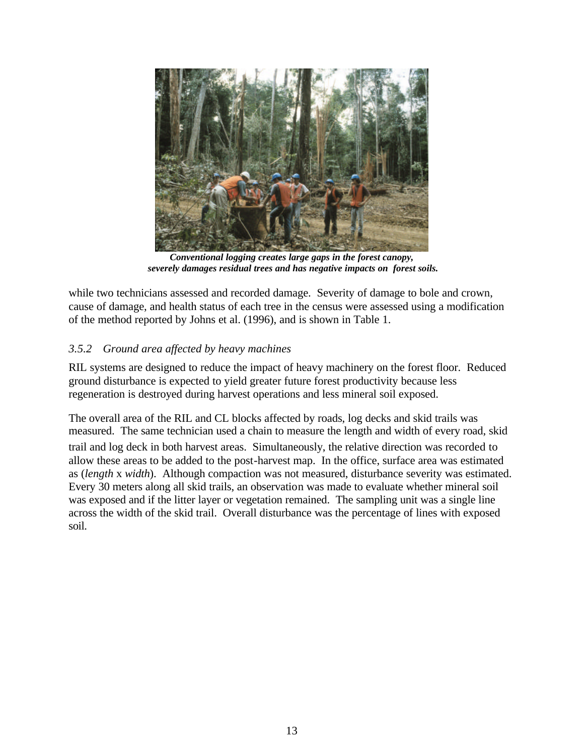

*Conventional logging creates large gaps in the forest canopy, severely damages residual trees and has negative impacts on forest soils.* 

while two technicians assessed and recorded damage. Severity of damage to bole and crown, cause of damage, and health status of each tree in the census were assessed using a modification of the method reported by Johns et al. (1996), and is shown in Table 1.

## *3.5.2 Ground area affected by heavy machines*

RIL systems are designed to reduce the impact of heavy machinery on the forest floor. Reduced ground disturbance is expected to yield greater future forest productivity because less regeneration is destroyed during harvest operations and less mineral soil exposed.

The overall area of the RIL and CL blocks affected by roads, log decks and skid trails was measured. The same technician used a chain to measure the length and width of every road, skid

trail and log deck in both harvest areas. Simultaneously, the relative direction was recorded to allow these areas to be added to the post-harvest map. In the office, surface area was estimated as (*length* x *width*). Although compaction was not measured, disturbance severity was estimated. Every 30 meters along all skid trails, an observation was made to evaluate whether mineral soil was exposed and if the litter layer or vegetation remained. The sampling unit was a single line across the width of the skid trail. Overall disturbance was the percentage of lines with exposed soil.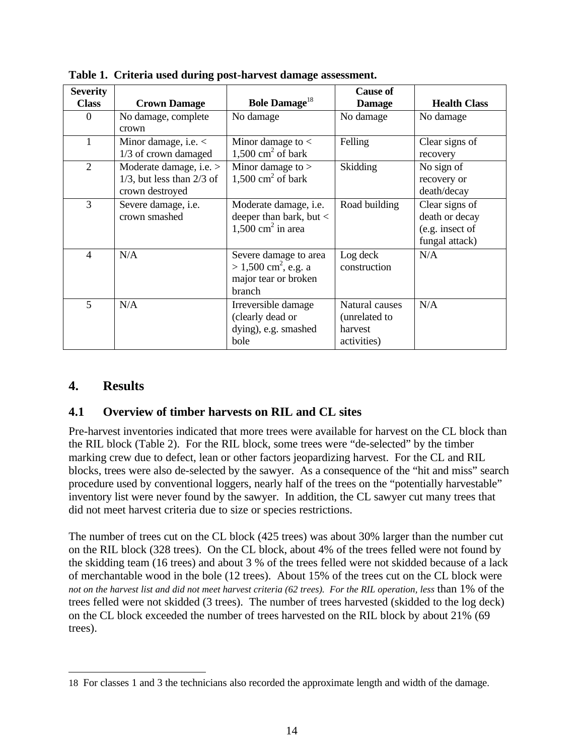| <b>Severity</b> |                                |                                    | <b>Cause of</b> |                     |
|-----------------|--------------------------------|------------------------------------|-----------------|---------------------|
| <b>Class</b>    | <b>Crown Damage</b>            | <b>Bole Damage</b> <sup>18</sup>   | <b>Damage</b>   | <b>Health Class</b> |
| $\Omega$        | No damage, complete            | No damage                          | No damage       | No damage           |
|                 | crown                          |                                    |                 |                     |
| 1               | Minor damage, i.e. $\lt$       | Minor damage to $\lt$              | Felling         | Clear signs of      |
|                 | 1/3 of crown damaged           | 1,500 cm <sup>2</sup> of bark      |                 | recovery            |
| 2               | Moderate damage, i.e. >        | Minor damage to $>$                | <b>Skidding</b> | No sign of          |
|                 | $1/3$ , but less than $2/3$ of | 1,500 cm <sup>2</sup> of bark      |                 | recovery or         |
|                 | crown destroyed                |                                    |                 | death/decay         |
| 3               | Severe damage, <i>i.e.</i>     | Moderate damage, i.e.              | Road building   | Clear signs of      |
|                 | crown smashed                  | deeper than bark, but $\lt$        |                 | death or decay      |
|                 |                                | $1,500$ cm <sup>2</sup> in area    |                 | (e.g. insect of     |
|                 |                                |                                    |                 | fungal attack)      |
| $\overline{4}$  | N/A                            | Severe damage to area              | Log deck        | N/A                 |
|                 |                                | $> 1,500$ cm <sup>2</sup> , e.g. a | construction    |                     |
|                 |                                | major tear or broken               |                 |                     |
|                 |                                | branch                             |                 |                     |
| 5               | N/A                            | Irreversible damage                | Natural causes  | N/A                 |
|                 |                                | (clearly dead or                   | (unrelated to   |                     |
|                 |                                | dying), e.g. smashed               | harvest         |                     |
|                 |                                | bole                               | activities)     |                     |

**Table 1. Criteria used during post-harvest damage assessment.**

## **4. Results**

 $\overline{a}$ 

## **4.1 Overview of timber harvests on RIL and CL sites**

Pre-harvest inventories indicated that more trees were available for harvest on the CL block than the RIL block (Table 2). For the RIL block, some trees were "de-selected" by the timber marking crew due to defect, lean or other factors jeopardizing harvest. For the CL and RIL blocks, trees were also de-selected by the sawyer. As a consequence of the "hit and miss" search procedure used by conventional loggers, nearly half of the trees on the "potentially harvestable" inventory list were never found by the sawyer. In addition, the CL sawyer cut many trees that did not meet harvest criteria due to size or species restrictions.

The number of trees cut on the CL block (425 trees) was about 30% larger than the number cut on the RIL block (328 trees). On the CL block, about 4% of the trees felled were not found by the skidding team (16 trees) and about 3 % of the trees felled were not skidded because of a lack of merchantable wood in the bole (12 trees). About 15% of the trees cut on the CL block were *not on the harvest list and did not meet harvest criteria (62 trees). For the RIL operation, less* than 1% of the trees felled were not skidded (3 trees). The number of trees harvested (skidded to the log deck) on the CL block exceeded the number of trees harvested on the RIL block by about 21% (69 trees).

<sup>18</sup> For classes 1 and 3 the technicians also recorded the approximate length and width of the damage.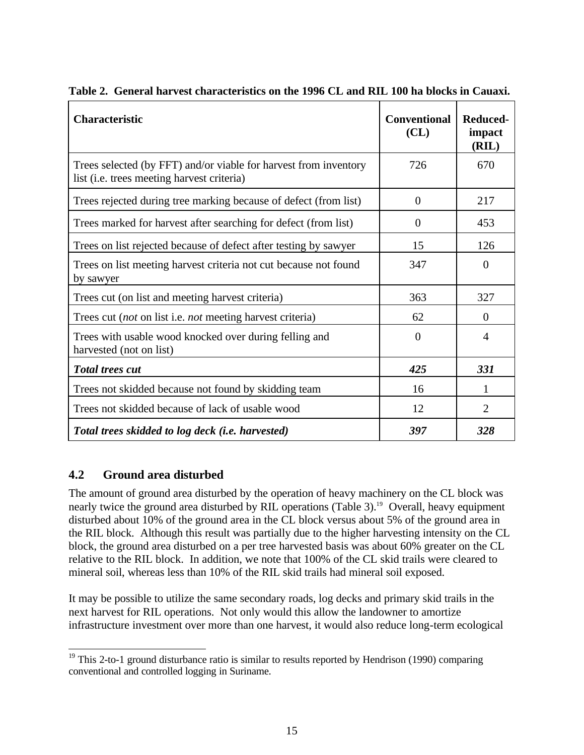| <b>Characteristic</b>                                                                                          | <b>Conventional</b><br>CL | Reduced-<br>impact<br>(RIL) |
|----------------------------------------------------------------------------------------------------------------|---------------------------|-----------------------------|
| Trees selected (by FFT) and/or viable for harvest from inventory<br>list (i.e. trees meeting harvest criteria) | 726                       | 670                         |
| Trees rejected during tree marking because of defect (from list)                                               | $\overline{0}$            | 217                         |
| Trees marked for harvest after searching for defect (from list)                                                | $\overline{0}$            | 453                         |
| Trees on list rejected because of defect after testing by sawyer                                               | 15                        | 126                         |
| Trees on list meeting harvest criteria not cut because not found<br>by sawyer                                  | 347                       | $\overline{0}$              |
| Trees cut (on list and meeting harvest criteria)                                                               | 363                       | 327                         |
| Trees cut (not on list i.e. not meeting harvest criteria)                                                      | 62                        | $\theta$                    |
| Trees with usable wood knocked over during felling and<br>harvested (not on list)                              | $\overline{0}$            | $\overline{4}$              |
| <b>Total trees cut</b>                                                                                         | 425                       | 331                         |
| Trees not skidded because not found by skidding team                                                           | 16                        | 1                           |
| Trees not skidded because of lack of usable wood                                                               | 12                        | $\overline{2}$              |
| Total trees skidded to log deck (i.e. harvested)                                                               | 397                       | 328                         |

**Table 2. General harvest characteristics on the 1996 CL and RIL 100 ha blocks in Cauaxi.**

## **4.2 Ground area disturbed**

The amount of ground area disturbed by the operation of heavy machinery on the CL block was nearly twice the ground area disturbed by RIL operations (Table 3).<sup>19</sup> Overall, heavy equipment disturbed about 10% of the ground area in the CL block versus about 5% of the ground area in the RIL block. Although this result was partially due to the higher harvesting intensity on the CL block, the ground area disturbed on a per tree harvested basis was about 60% greater on the CL relative to the RIL block. In addition, we note that 100% of the CL skid trails were cleared to mineral soil, whereas less than 10% of the RIL skid trails had mineral soil exposed.

It may be possible to utilize the same secondary roads, log decks and primary skid trails in the next harvest for RIL operations. Not only would this allow the landowner to amortize infrastructure investment over more than one harvest, it would also reduce long-term ecological

 $\overline{a}$  $19$  This 2-to-1 ground disturbance ratio is similar to results reported by Hendrison (1990) comparing conventional and controlled logging in Suriname.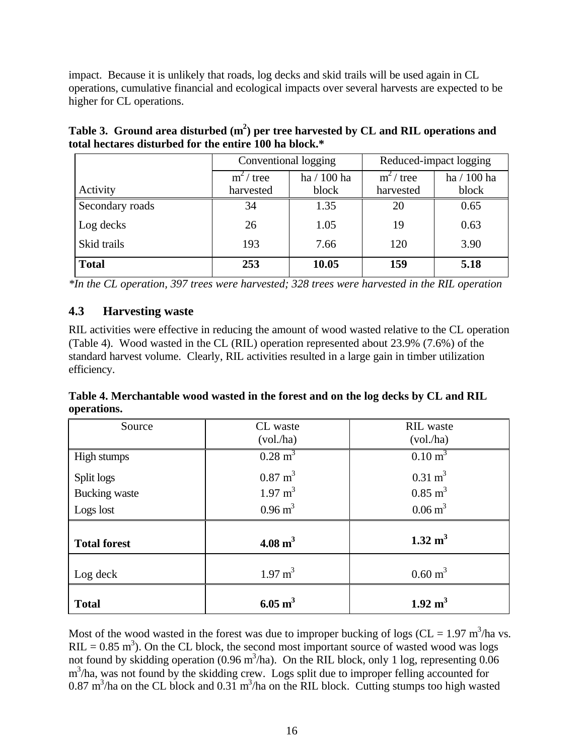impact. Because it is unlikely that roads, log decks and skid trails will be used again in CL operations, cumulative financial and ecological impacts over several harvests are expected to be higher for CL operations.

|                 | Conventional logging |             | Reduced-impact logging |             |
|-----------------|----------------------|-------------|------------------------|-------------|
|                 | $m^2$ tree           | ha / 100 ha |                        | ha / 100 ha |
| Activity        | harvested            | block       | harvested              | block       |
| Secondary roads | 34                   | 1.35        | 20                     | 0.65        |
| Log decks       | 26                   | 1.05        | 19                     | 0.63        |
| Skid trails     | 193                  | 7.66        | 120                    | 3.90        |
| <b>Total</b>    | 253                  | 10.05       | 159                    | 5.18        |

**Table 3. Ground area disturbed (m<sup>2</sup> ) per tree harvested by CL and RIL operations and total hectares disturbed for the entire 100 ha block.\***

*\*In the CL operation, 397 trees were harvested; 328 trees were harvested in the RIL operation*

## **4.3 Harvesting waste**

RIL activities were effective in reducing the amount of wood wasted relative to the CL operation (Table 4). Wood wasted in the CL (RIL) operation represented about 23.9% (7.6%) of the standard harvest volume. Clearly, RIL activities resulted in a large gain in timber utilization efficiency.

**Table 4. Merchantable wood wasted in the forest and on the log decks by CL and RIL operations.**

| Source               | CL waste<br>(vol. / ha) | <b>RIL</b> waste<br>(vol. / ha) |
|----------------------|-------------------------|---------------------------------|
| High stumps          | $0.28 \text{ m}^3$      | $0.10 \text{ m}^3$              |
| Split logs           | $0.87 \text{ m}^3$      | $0.31 \text{ m}^3$              |
| <b>Bucking</b> waste | $1.97 \text{ m}^3$      | $0.85 \text{ m}^3$              |
| Logs lost            | $0.96 \text{ m}^3$      | $0.06 \text{ m}^3$              |
| <b>Total forest</b>  | $4.08 \text{ m}^3$      | $1.32 \text{ m}^3$              |
| Log deck             | $1.97 \text{ m}^3$      | $0.60 \text{ m}^3$              |
| <b>Total</b>         | $6.05 \text{ m}^3$      | $1.92 \text{ m}^3$              |

Most of the wood wasted in the forest was due to improper bucking of logs (CL = 1.97 m<sup>3</sup>/ha vs. RIL =  $0.85$  m<sup>3</sup>). On the CL block, the second most important source of wasted wood was logs not found by skidding operation (0.96 m<sup>3</sup>/ha). On the RIL block, only 1 log, representing 0.06 m<sup>3</sup>/ha, was not found by the skidding crew. Logs split due to improper felling accounted for  $0.87 \text{ m}^3/\text{ha}$  on the CL block and  $0.31 \text{ m}^3/\text{ha}$  on the RIL block. Cutting stumps too high wasted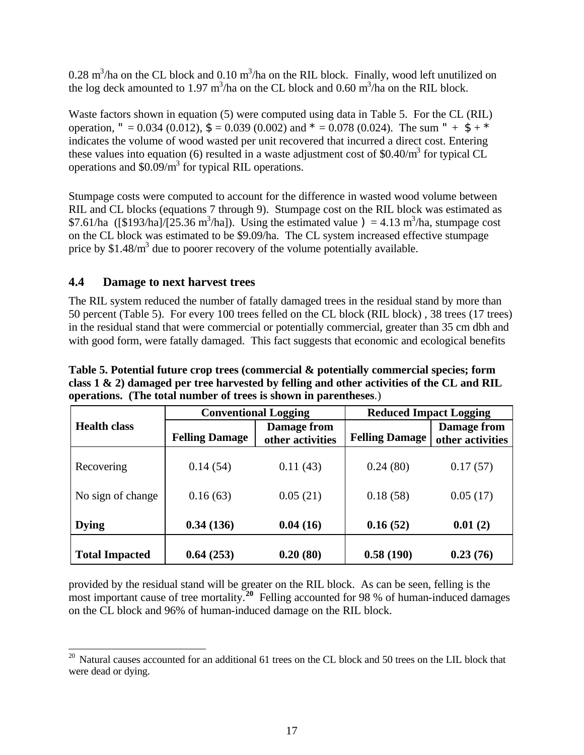0.28 m<sup>3</sup>/ha on the CL block and 0.10 m<sup>3</sup>/ha on the RIL block. Finally, wood left unutilized on the log deck amounted to 1.97 m<sup>3</sup>/ha on the CL block and 0.60 m<sup>3</sup>/ha on the RIL block.

Waste factors shown in equation (5) were computed using data in Table 5. For the CL (RIL) operation, " = 0.034 (0.012),  $\mathbf{S} = 0.039$  (0.002) and  $* = 0.078$  (0.024). The sum " +  $\mathbf{S} + *$ indicates the volume of wood wasted per unit recovered that incurred a direct cost. Entering these values into equation (6) resulted in a waste adjustment cost of \$0.40/ $m<sup>3</sup>$  for typical CL operations and  $$0.09/m<sup>3</sup>$  for typical RIL operations.

Stumpage costs were computed to account for the difference in wasted wood volume between RIL and CL blocks (equations 7 through 9). Stumpage cost on the RIL block was estimated as \$7.61/ha ([\$193/ha]/[25.36 m<sup>3</sup>/ha]). Using the estimated value  $= 4.13 \text{ m}^3/\text{ha}$ , stumpage cost on the CL block was estimated to be \$9.09/ha. The CL system increased effective stumpage price by  $$1.48/m<sup>3</sup>$  due to poorer recovery of the volume potentially available.

## **4.4 Damage to next harvest trees**

The RIL system reduced the number of fatally damaged trees in the residual stand by more than 50 percent (Table 5). For every 100 trees felled on the CL block (RIL block) , 38 trees (17 trees) in the residual stand that were commercial or potentially commercial, greater than 35 cm dbh and with good form, were fatally damaged. This fact suggests that economic and ecological benefits

|                       | <b>Conventional Logging</b> |                                 | <b>Reduced Impact Logging</b> |                                 |
|-----------------------|-----------------------------|---------------------------------|-------------------------------|---------------------------------|
| <b>Health class</b>   | <b>Felling Damage</b>       | Damage from<br>other activities | <b>Felling Damage</b>         | Damage from<br>other activities |
| Recovering            | 0.14(54)                    | 0.11(43)                        | 0.24(80)                      | 0.17(57)                        |
| No sign of change     | 0.16(63)                    | 0.05(21)                        | 0.18(58)                      | 0.05(17)                        |
| <b>Dying</b>          | 0.34(136)                   | 0.04(16)                        | 0.16(52)                      | 0.01(2)                         |
| <b>Total Impacted</b> | 0.64(253)                   | 0.20(80)                        | 0.58(190)                     | 0.23(76)                        |

**Table 5. Potential future crop trees (commercial & potentially commercial species; form class 1 & 2) damaged per tree harvested by felling and other activities of the CL and RIL operations. (The total number of trees is shown in parentheses**.)

provided by the residual stand will be greater on the RIL block. As can be seen, felling is the most important cause of tree mortality.<sup>20</sup> Felling accounted for 98 % of human-induced damages on the CL block and 96% of human-induced damage on the RIL block.

 $\overline{a}$  $20$  Natural causes accounted for an additional 61 trees on the CL block and 50 trees on the LIL block that were dead or dying.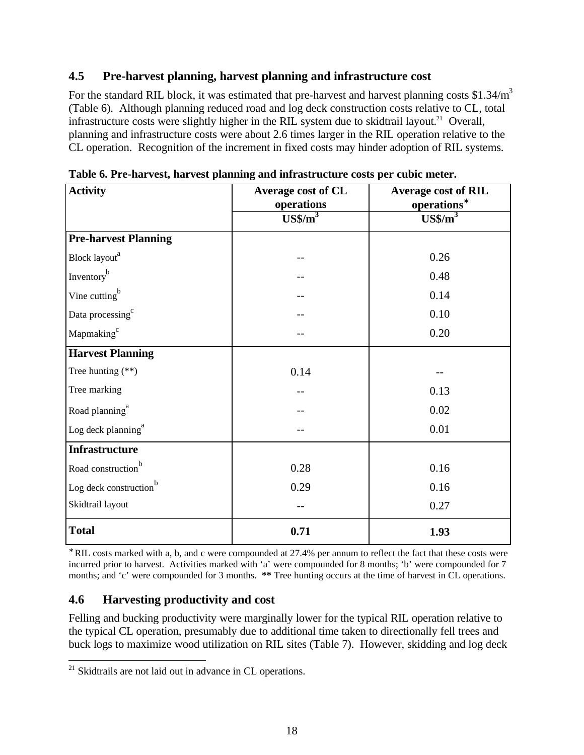## **4.5 Pre-harvest planning, harvest planning and infrastructure cost**

For the standard RIL block, it was estimated that pre-harvest and harvest planning costs \$1.34/m<sup>3</sup> (Table 6). Although planning reduced road and log deck construction costs relative to CL, total infrastructure costs were slightly higher in the RIL system due to skidtrail layout.<sup>21</sup> Overall, planning and infrastructure costs were about 2.6 times larger in the RIL operation relative to the CL operation. Recognition of the increment in fixed costs may hinder adoption of RIL systems.

| <b>Activity</b>                    | Average cost of CL | <b>Average cost of RIL</b> |
|------------------------------------|--------------------|----------------------------|
|                                    | operations         | operations <sup>*</sup>    |
|                                    | $US\frac{$}{m^3}$  | $US\frac{$}{m^3}$          |
| <b>Pre-harvest Planning</b>        |                    |                            |
| Block layout <sup>a</sup>          |                    | 0.26                       |
| Inventory <sup>b</sup>             |                    | 0.48                       |
| Vine cutting <sup>b</sup>          |                    | 0.14                       |
| Data processing <sup>c</sup>       |                    | 0.10                       |
| Mapmaking <sup>c</sup>             |                    | 0.20                       |
| <b>Harvest Planning</b>            |                    |                            |
| Tree hunting $(**)$                | 0.14               |                            |
| Tree marking                       |                    | 0.13                       |
| Road planning <sup>a</sup>         |                    | 0.02                       |
| Log deck planning <sup>a</sup>     |                    | 0.01                       |
| <b>Infrastructure</b>              |                    |                            |
| Road construction <sup>b</sup>     | 0.28               | 0.16                       |
| Log deck construction <sup>b</sup> | 0.29               | 0.16                       |
| Skidtrail layout                   |                    | 0.27                       |
| <b>Total</b>                       | 0.71               | 1.93                       |

**Table 6. Pre-harvest, harvest planning and infrastructure costs per cubic meter.**

**\*** RIL costs marked with a, b, and c were compounded at 27.4% per annum to reflect the fact that these costs were incurred prior to harvest. Activities marked with 'a' were compounded for 8 months; 'b' were compounded for 7 months; and 'c' were compounded for 3 months. **\*\*** Tree hunting occurs at the time of harvest in CL operations.

# **4.6 Harvesting productivity and cost**

Felling and bucking productivity were marginally lower for the typical RIL operation relative to the typical CL operation, presumably due to additional time taken to directionally fell trees and buck logs to maximize wood utilization on RIL sites (Table 7). However, skidding and log deck

<sup>1</sup>  $21$  Skidtrails are not laid out in advance in CL operations.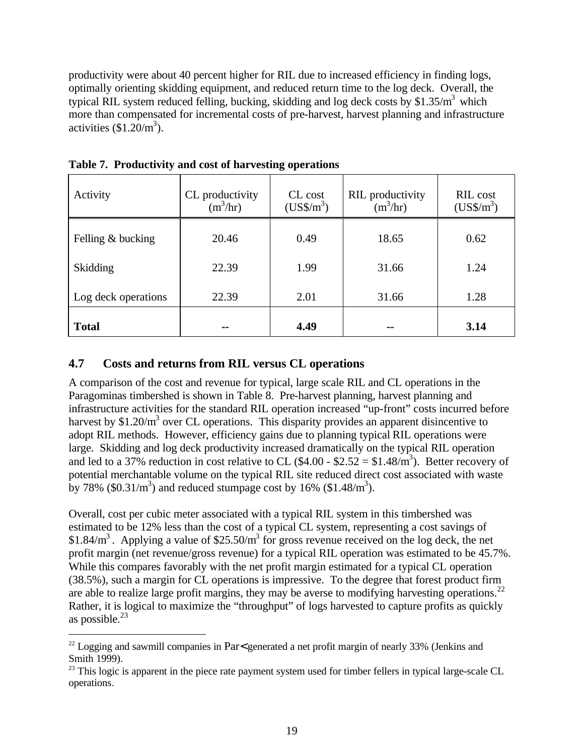productivity were about 40 percent higher for RIL due to increased efficiency in finding logs, optimally orienting skidding equipment, and reduced return time to the log deck. Overall, the typical RIL system reduced felling, bucking, skidding and log deck costs by  $$1.35/m<sup>3</sup>$  which more than compensated for incremental costs of pre-harvest, harvest planning and infrastructure activities  $(\$1.20/m^3)$ .

| Activity            | CL productivity<br>$(m^3/hr)$ | CL cost<br>$(US\frac{$}{m^3})$ | <b>RIL</b> productivity<br>$(m^3/hr)$ | RIL cost<br>$(US\frac{$}{m^3})$ |
|---------------------|-------------------------------|--------------------------------|---------------------------------------|---------------------------------|
| Felling & bucking   | 20.46                         | 0.49                           | 18.65                                 | 0.62                            |
| Skidding            | 22.39                         | 1.99                           | 31.66                                 | 1.24                            |
| Log deck operations | 22.39                         | 2.01                           | 31.66                                 | 1.28                            |
| <b>Total</b>        | --                            | 4.49                           | --                                    | 3.14                            |

**Table 7. Productivity and cost of harvesting operations**

## **4.7 Costs and returns from RIL versus CL operations**

-

A comparison of the cost and revenue for typical, large scale RIL and CL operations in the Paragominas timbershed is shown in Table 8. Pre-harvest planning, harvest planning and infrastructure activities for the standard RIL operation increased "up-front" costs incurred before harvest by \$1.20/ $m<sup>3</sup>$  over CL operations. This disparity provides an apparent disincentive to adopt RIL methods. However, efficiency gains due to planning typical RIL operations were large. Skidding and log deck productivity increased dramatically on the typical RIL operation and led to a 37% reduction in cost relative to CL  $(\$4.00 - \$2.52 = \$1.48/m^3)$ . Better recovery of potential merchantable volume on the typical RIL site reduced direct cost associated with waste by 78% (\$0.31/m<sup>3</sup>) and reduced stumpage cost by 16% (\$1.48/m<sup>3</sup>).

Overall, cost per cubic meter associated with a typical RIL system in this timbershed was estimated to be 12% less than the cost of a typical CL system, representing a cost savings of \$1.84/ $m<sup>3</sup>$ . Applying a value of \$25.50/ $m<sup>3</sup>$  for gross revenue received on the log deck, the net profit margin (net revenue/gross revenue) for a typical RIL operation was estimated to be 45.7%. While this compares favorably with the net profit margin estimated for a typical CL operation (38.5%), such a margin for CL operations is impressive. To the degree that forest product firm are able to realize large profit margins, they may be averse to modifying harvesting operations.<sup>22</sup> Rather, it is logical to maximize the "throughput" of logs harvested to capture profits as quickly as possible. $^{23}$ 

 $22$  Logging and sawmill companies in Par< generated a net profit margin of nearly 33% (Jenkins and Smith 1999).

<sup>&</sup>lt;sup>23</sup> This logic is apparent in the piece rate payment system used for timber fellers in typical large-scale CL operations.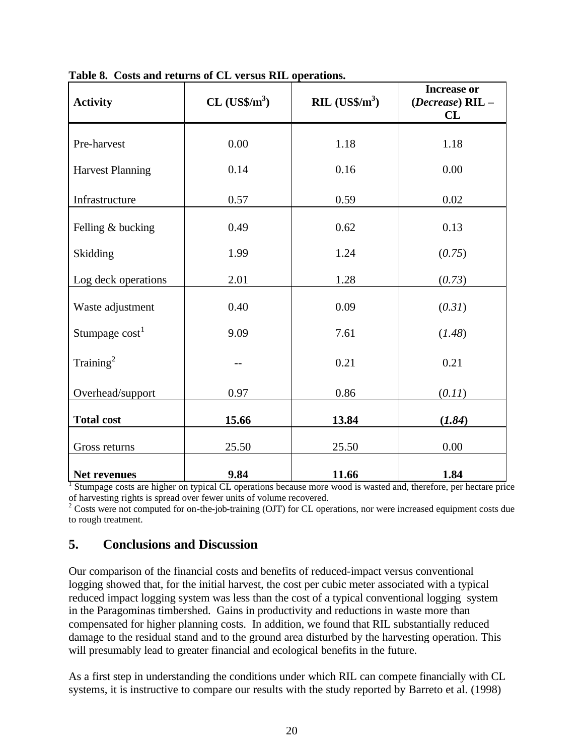| <b>Activity</b>         | $CL$ (US\$/m <sup>3</sup> ) | RIL $(US\sin^3)$ | <b>Increase or</b><br>(Decrease) RIL -<br>CL |
|-------------------------|-----------------------------|------------------|----------------------------------------------|
| Pre-harvest             | 0.00                        | 1.18             | 1.18                                         |
| <b>Harvest Planning</b> | 0.14                        | 0.16             | 0.00                                         |
| Infrastructure          | 0.57                        | 0.59             | 0.02                                         |
| Felling & bucking       | 0.49                        | 0.62             | 0.13                                         |
| Skidding                | 1.99                        | 1.24             | (0.75)                                       |
| Log deck operations     | 2.01                        | 1.28             | (0.73)                                       |
| Waste adjustment        | 0.40                        | 0.09             | (0.31)                                       |
| Stumpage $cost1$        | 9.09                        | 7.61             | (1.48)                                       |
| Training <sup>2</sup>   |                             | 0.21             | 0.21                                         |
| Overhead/support        | 0.97                        | 0.86             | (0.11)                                       |
| <b>Total cost</b>       | 15.66                       | 13.84            | (1.84)                                       |
| Gross returns           | 25.50                       | 25.50            | 0.00                                         |
| Net revenues            | 9.84                        | 11.66            | 1.84                                         |

**Table 8. Costs and returns of CL versus RIL operations.** 

<sup>1</sup> Stumpage costs are higher on typical CL operations because more wood is wasted and, therefore, per hectare price

of harvesting rights is spread over fewer units of volume recovered.<br><sup>2</sup> Costs were not computed for on-the-job-training (OJT) for CL operations, nor were increased equipment costs due to rough treatment.

# **5. Conclusions and Discussion**

Our comparison of the financial costs and benefits of reduced-impact versus conventional logging showed that, for the initial harvest, the cost per cubic meter associated with a typical reduced impact logging system was less than the cost of a typical conventional logging system in the Paragominas timbershed. Gains in productivity and reductions in waste more than compensated for higher planning costs. In addition, we found that RIL substantially reduced damage to the residual stand and to the ground area disturbed by the harvesting operation. This will presumably lead to greater financial and ecological benefits in the future.

As a first step in understanding the conditions under which RIL can compete financially with CL systems, it is instructive to compare our results with the study reported by Barreto et al. (1998)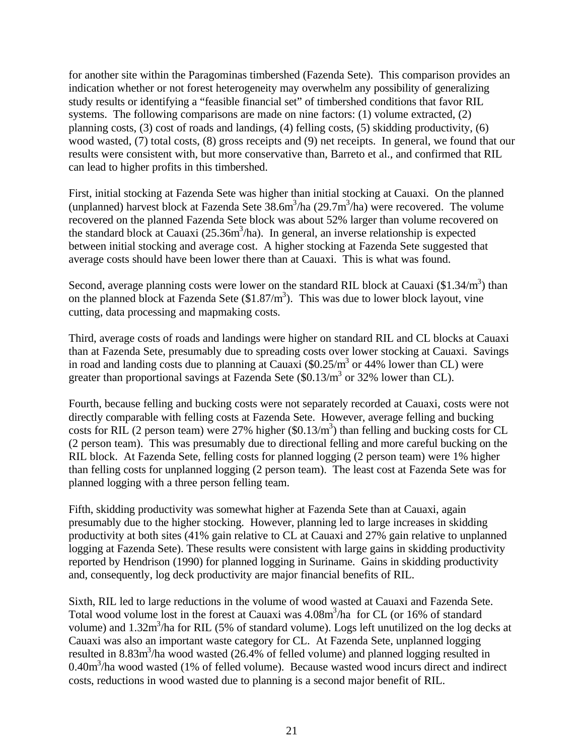for another site within the Paragominas timbershed (Fazenda Sete). This comparison provides an indication whether or not forest heterogeneity may overwhelm any possibility of generalizing study results or identifying a "feasible financial set" of timbershed conditions that favor RIL systems. The following comparisons are made on nine factors: (1) volume extracted, (2) planning costs, (3) cost of roads and landings, (4) felling costs, (5) skidding productivity, (6) wood wasted, (7) total costs, (8) gross receipts and (9) net receipts. In general, we found that our results were consistent with, but more conservative than, Barreto et al., and confirmed that RIL can lead to higher profits in this timbershed.

First, initial stocking at Fazenda Sete was higher than initial stocking at Cauaxi. On the planned (unplanned) harvest block at Fazenda Sete  $38.6m^3/ha$  (29.7m $^3/ha$ ) were recovered. The volume recovered on the planned Fazenda Sete block was about 52% larger than volume recovered on the standard block at Cauaxi (25.36m<sup>3</sup>/ha). In general, an inverse relationship is expected between initial stocking and average cost. A higher stocking at Fazenda Sete suggested that average costs should have been lower there than at Cauaxi. This is what was found.

Second, average planning costs were lower on the standard RIL block at Cauaxi  $(\$1.34/m^3)$  than on the planned block at Fazenda Sete  $(\$1.87/m^3)$ . This was due to lower block layout, vine cutting, data processing and mapmaking costs.

Third, average costs of roads and landings were higher on standard RIL and CL blocks at Cauaxi than at Fazenda Sete, presumably due to spreading costs over lower stocking at Cauaxi. Savings in road and landing costs due to planning at Cauaxi  $(\$0.25/m^3$  or 44% lower than CL) were greater than proportional savings at Fazenda Sete  $(\$0.13/m^3$  or 32% lower than CL).

Fourth, because felling and bucking costs were not separately recorded at Cauaxi, costs were not directly comparable with felling costs at Fazenda Sete. However, average felling and bucking costs for RIL (2 person team) were 27% higher  $(\$0.13/m^3)$  than felling and bucking costs for CL (2 person team). This was presumably due to directional felling and more careful bucking on the RIL block. At Fazenda Sete, felling costs for planned logging (2 person team) were 1% higher than felling costs for unplanned logging (2 person team). The least cost at Fazenda Sete was for planned logging with a three person felling team.

Fifth, skidding productivity was somewhat higher at Fazenda Sete than at Cauaxi, again presumably due to the higher stocking. However, planning led to large increases in skidding productivity at both sites (41% gain relative to CL at Cauaxi and 27% gain relative to unplanned logging at Fazenda Sete). These results were consistent with large gains in skidding productivity reported by Hendrison (1990) for planned logging in Suriname. Gains in skidding productivity and, consequently, log deck productivity are major financial benefits of RIL.

Sixth, RIL led to large reductions in the volume of wood wasted at Cauaxi and Fazenda Sete. Total wood volume lost in the forest at Cauaxi was  $4.08m<sup>3</sup>/ha$  for CL (or 16% of standard volume) and  $1.32m<sup>3</sup>/ha$  for RIL (5% of standard volume). Logs left unutilized on the log decks at Cauaxi was also an important waste category for CL. At Fazenda Sete, unplanned logging resulted in 8.83m<sup>3</sup>/ha wood wasted (26.4% of felled volume) and planned logging resulted in 0.40m<sup>3</sup>/ha wood wasted (1% of felled volume). Because wasted wood incurs direct and indirect costs, reductions in wood wasted due to planning is a second major benefit of RIL.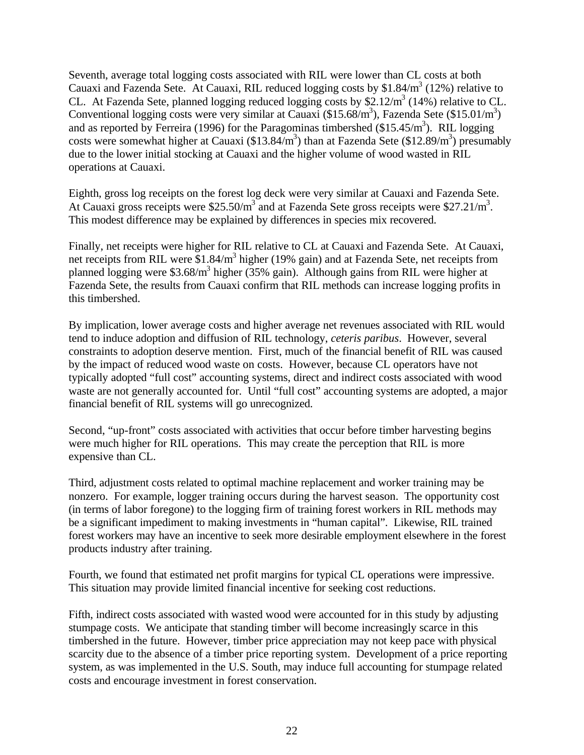Seventh, average total logging costs associated with RIL were lower than CL costs at both Cauaxi and Fazenda Sete. At Cauaxi, RIL reduced logging costs by  $$1.84/m<sup>3</sup> (12%)$  relative to CL. At Fazenda Sete, planned logging reduced logging costs by  $$2.12/m<sup>3</sup> (14%)$  relative to CL. Conventional logging costs were very similar at Cauaxi (\$15.68/m<sup>3</sup>), Fazenda Sete (\$15.01/m<sup>3</sup>) and as reported by Ferreira (1996) for the Paragominas timbershed  $(\$15.45/m^3)$ . RIL logging costs were somewhat higher at Cauaxi  $(\$13.84/m^3)$  than at Fazenda Sete  $(\$12.89/m^3)$  presumably due to the lower initial stocking at Cauaxi and the higher volume of wood wasted in RIL operations at Cauaxi.

Eighth, gross log receipts on the forest log deck were very similar at Cauaxi and Fazenda Sete. At Cauaxi gross receipts were  $$25.50/m<sup>3</sup>$  and at Fazenda Sete gross receipts were  $$27.21/m<sup>3</sup>$ . This modest difference may be explained by differences in species mix recovered.

Finally, net receipts were higher for RIL relative to CL at Cauaxi and Fazenda Sete. At Cauaxi, net receipts from RIL were \$1.84/m<sup>3</sup> higher (19% gain) and at Fazenda Sete, net receipts from planned logging were \$3.68/m<sup>3</sup> higher (35% gain). Although gains from RIL were higher at Fazenda Sete, the results from Cauaxi confirm that RIL methods can increase logging profits in this timbershed.

By implication, lower average costs and higher average net revenues associated with RIL would tend to induce adoption and diffusion of RIL technology, *ceteris paribus*. However, several constraints to adoption deserve mention. First, much of the financial benefit of RIL was caused by the impact of reduced wood waste on costs. However, because CL operators have not typically adopted "full cost" accounting systems, direct and indirect costs associated with wood waste are not generally accounted for. Until "full cost" accounting systems are adopted, a major financial benefit of RIL systems will go unrecognized.

Second, "up-front" costs associated with activities that occur before timber harvesting begins were much higher for RIL operations. This may create the perception that RIL is more expensive than CL.

Third, adjustment costs related to optimal machine replacement and worker training may be nonzero. For example, logger training occurs during the harvest season. The opportunity cost (in terms of labor foregone) to the logging firm of training forest workers in RIL methods may be a significant impediment to making investments in "human capital". Likewise, RIL trained forest workers may have an incentive to seek more desirable employment elsewhere in the forest products industry after training.

Fourth, we found that estimated net profit margins for typical CL operations were impressive. This situation may provide limited financial incentive for seeking cost reductions.

Fifth, indirect costs associated with wasted wood were accounted for in this study by adjusting stumpage costs. We anticipate that standing timber will become increasingly scarce in this timbershed in the future. However, timber price appreciation may not keep pace with physical scarcity due to the absence of a timber price reporting system. Development of a price reporting system, as was implemented in the U.S. South, may induce full accounting for stumpage related costs and encourage investment in forest conservation.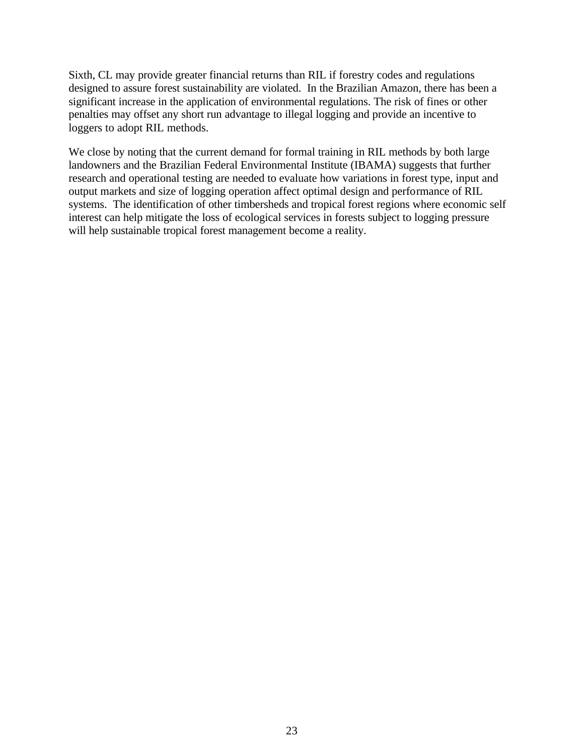Sixth, CL may provide greater financial returns than RIL if forestry codes and regulations designed to assure forest sustainability are violated. In the Brazilian Amazon, there has been a significant increase in the application of environmental regulations. The risk of fines or other penalties may offset any short run advantage to illegal logging and provide an incentive to loggers to adopt RIL methods.

We close by noting that the current demand for formal training in RIL methods by both large landowners and the Brazilian Federal Environmental Institute (IBAMA) suggests that further research and operational testing are needed to evaluate how variations in forest type, input and output markets and size of logging operation affect optimal design and performance of RIL systems. The identification of other timbersheds and tropical forest regions where economic self interest can help mitigate the loss of ecological services in forests subject to logging pressure will help sustainable tropical forest management become a reality.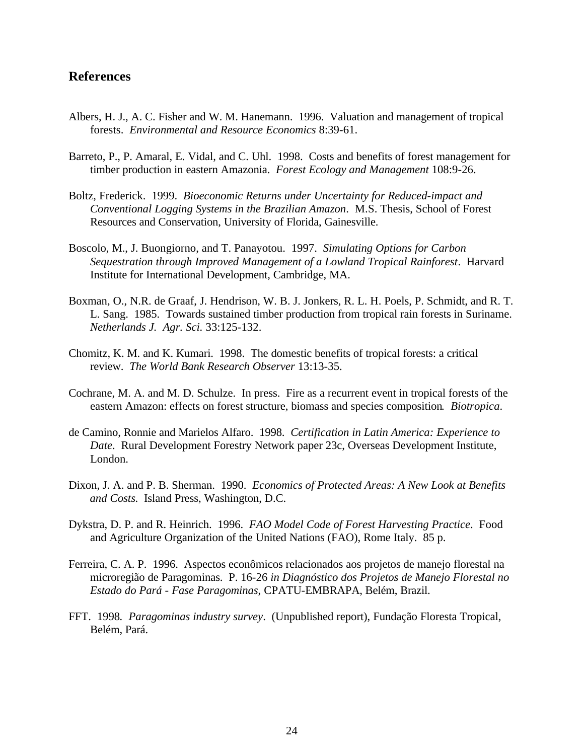## **References**

- Albers, H. J., A. C. Fisher and W. M. Hanemann. 1996. Valuation and management of tropical forests. *Environmental and Resource Economics* 8:39-61.
- Barreto, P., P. Amaral, E. Vidal, and C. Uhl. 1998. Costs and benefits of forest management for timber production in eastern Amazonia. *Forest Ecology and Management* 108:9-26.
- Boltz, Frederick. 1999. *Bioeconomic Returns under Uncertainty for Reduced-impact and Conventional Logging Systems in the Brazilian Amazon*. M.S. Thesis, School of Forest Resources and Conservation, University of Florida, Gainesville.
- Boscolo, M., J. Buongiorno, and T. Panayotou. 1997. *Simulating Options for Carbon Sequestration through Improved Management of a Lowland Tropical Rainforest*. Harvard Institute for International Development, Cambridge, MA.
- Boxman, O., N.R. de Graaf, J. Hendrison, W. B. J. Jonkers, R. L. H. Poels, P. Schmidt, and R. T. L. Sang. 1985. Towards sustained timber production from tropical rain forests in Suriname. *Netherlands J. Agr. Sci.* 33:125-132.
- Chomitz, K. M. and K. Kumari. 1998. The domestic benefits of tropical forests: a critical review. *The World Bank Research Observer* 13:13-35.
- Cochrane, M. A. and M. D. Schulze. In press. Fire as a recurrent event in tropical forests of the eastern Amazon: effects on forest structure, biomass and species composition*. Biotropica*.
- de Camino, Ronnie and Marielos Alfaro. 1998. *Certification in Latin America: Experience to Date*. Rural Development Forestry Network paper 23c, Overseas Development Institute, London.
- Dixon, J. A. and P. B. Sherman. 1990. *Economics of Protected Areas: A New Look at Benefits and Costs*. Island Press, Washington, D.C.
- Dykstra, D. P. and R. Heinrich. 1996. *FAO Model Code of Forest Harvesting Practice*. Food and Agriculture Organization of the United Nations (FAO), Rome Italy. 85 p.
- Ferreira, C. A. P. 1996. Aspectos econômicos relacionados aos projetos de manejo florestal na microregião de Paragominas. P. 16-26 *in Diagnóstico dos Projetos de Manejo Florestal no Estado do Pará - Fase Paragominas*, CPATU-EMBRAPA, Belém, Brazil.
- FFT. 1998*. Paragominas industry survey*. (Unpublished report), Fundação Floresta Tropical, Belém, Pará.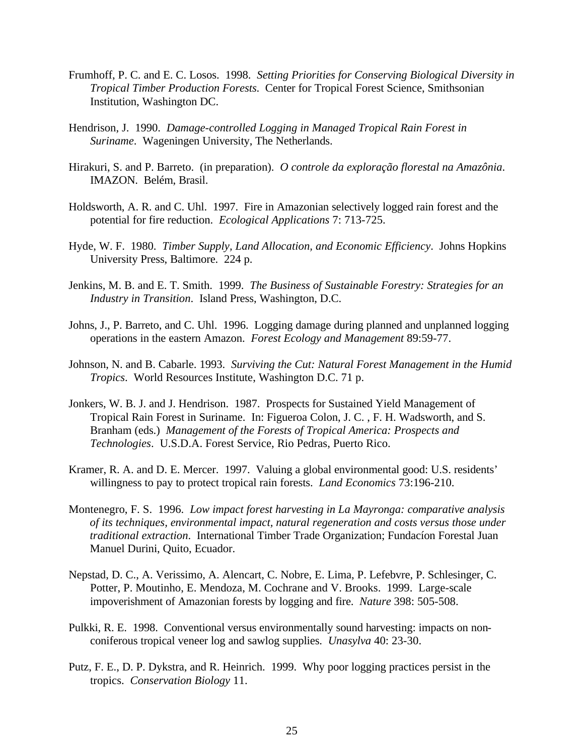- Frumhoff, P. C. and E. C. Losos. 1998. *Setting Priorities for Conserving Biological Diversity in Tropical Timber Production Forests*. Center for Tropical Forest Science, Smithsonian Institution, Washington DC.
- Hendrison, J. 1990. *Damage-controlled Logging in Managed Tropical Rain Forest in Suriname*. Wageningen University, The Netherlands.
- Hirakuri, S. and P. Barreto. (in preparation). *O controle da exploração florestal na Amazônia*. IMAZON. Belém, Brasil.
- Holdsworth, A. R. and C. Uhl. 1997. Fire in Amazonian selectively logged rain forest and the potential for fire reduction. *Ecological Applications* 7: 713-725.
- Hyde, W. F. 1980. *Timber Supply, Land Allocation, and Economic Efficiency*. Johns Hopkins University Press, Baltimore. 224 p.
- Jenkins, M. B. and E. T. Smith. 1999. *The Business of Sustainable Forestry: Strategies for an Industry in Transition*. Island Press, Washington, D.C.
- Johns, J., P. Barreto, and C. Uhl. 1996. Logging damage during planned and unplanned logging operations in the eastern Amazon. *Forest Ecology and Management* 89:59-77.
- Johnson, N. and B. Cabarle. 1993. *Surviving the Cut: Natural Forest Management in the Humid Tropics*. World Resources Institute, Washington D.C. 71 p.
- Jonkers, W. B. J. and J. Hendrison. 1987. Prospects for Sustained Yield Management of Tropical Rain Forest in Suriname. In: Figueroa Colon, J. C. , F. H. Wadsworth, and S. Branham (eds.) *Management of the Forests of Tropical America: Prospects and Technologies*. U.S.D.A. Forest Service, Rio Pedras, Puerto Rico.
- Kramer, R. A. and D. E. Mercer. 1997. Valuing a global environmental good: U.S. residents' willingness to pay to protect tropical rain forests. *Land Economics* 73:196-210.
- Montenegro, F. S. 1996. *Low impact forest harvesting in La Mayronga: comparative analysis of its techniques, environmental impact, natural regeneration and costs versus those under traditional extraction*. International Timber Trade Organization; Fundacíon Forestal Juan Manuel Durini, Quito, Ecuador.
- Nepstad, D. C., A. Verissimo, A. Alencart, C. Nobre, E. Lima, P. Lefebvre, P. Schlesinger, C. Potter, P. Moutinho, E. Mendoza, M. Cochrane and V. Brooks. 1999. Large-scale impoverishment of Amazonian forests by logging and fire. *Nature* 398: 505-508.
- Pulkki, R. E. 1998. Conventional versus environmentally sound harvesting: impacts on nonconiferous tropical veneer log and sawlog supplies. *Unasylva* 40: 23-30.
- Putz, F. E., D. P. Dykstra, and R. Heinrich. 1999. Why poor logging practices persist in the tropics. *Conservation Biology* 11.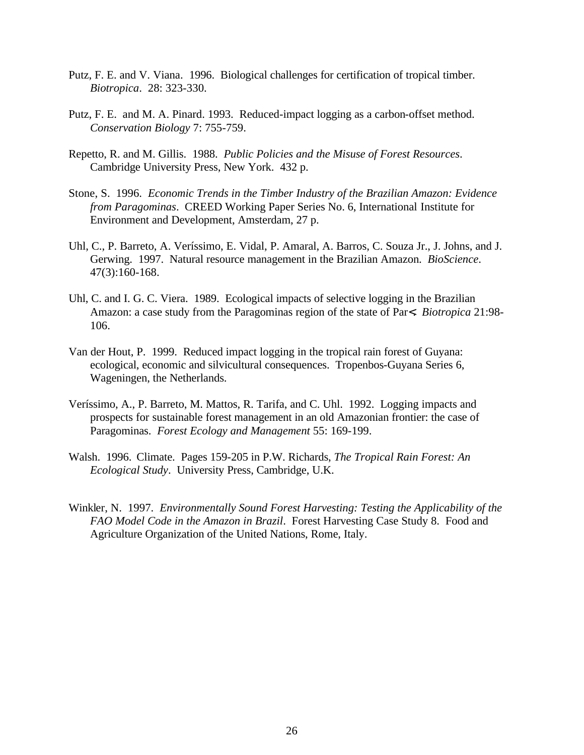- Putz, F. E. and V. Viana. 1996. Biological challenges for certification of tropical timber. *Biotropica*. 28: 323-330.
- Putz, F. E. and M. A. Pinard. 1993. Reduced-impact logging as a carbon-offset method. *Conservation Biology* 7: 755-759.
- Repetto, R. and M. Gillis. 1988. *Public Policies and the Misuse of Forest Resources*. Cambridge University Press, New York. 432 p.
- Stone, S. 1996. *Economic Trends in the Timber Industry of the Brazilian Amazon: Evidence from Paragominas*. CREED Working Paper Series No. 6, International Institute for Environment and Development, Amsterdam, 27 p.
- Uhl, C., P. Barreto, A. Veríssimo, E. Vidal, P. Amaral, A. Barros, C. Souza Jr., J. Johns, and J. Gerwing. 1997. Natural resource management in the Brazilian Amazon. *BioScience*. 47(3):160-168.
- Uhl, C. and I. G. C. Viera. 1989. Ecological impacts of selective logging in the Brazilian Amazon: a case study from the Paragominas region of the state of Par<. *Biotropica* 21:98- 106.
- Van der Hout, P. 1999. Reduced impact logging in the tropical rain forest of Guyana: ecological, economic and silvicultural consequences. Tropenbos-Guyana Series 6, Wageningen, the Netherlands.
- Veríssimo, A., P. Barreto, M. Mattos, R. Tarifa, and C. Uhl. 1992. Logging impacts and prospects for sustainable forest management in an old Amazonian frontier: the case of Paragominas. *Forest Ecology and Management* 55: 169-199.
- Walsh. 1996.Climate. Pages 159-205 in P.W. Richards, *The Tropical Rain Forest: An Ecological Study*. University Press, Cambridge, U.K.
- Winkler, N. 1997. *Environmentally Sound Forest Harvesting: Testing the Applicability of the FAO Model Code in the Amazon in Brazil*. Forest Harvesting Case Study 8. Food and Agriculture Organization of the United Nations, Rome, Italy.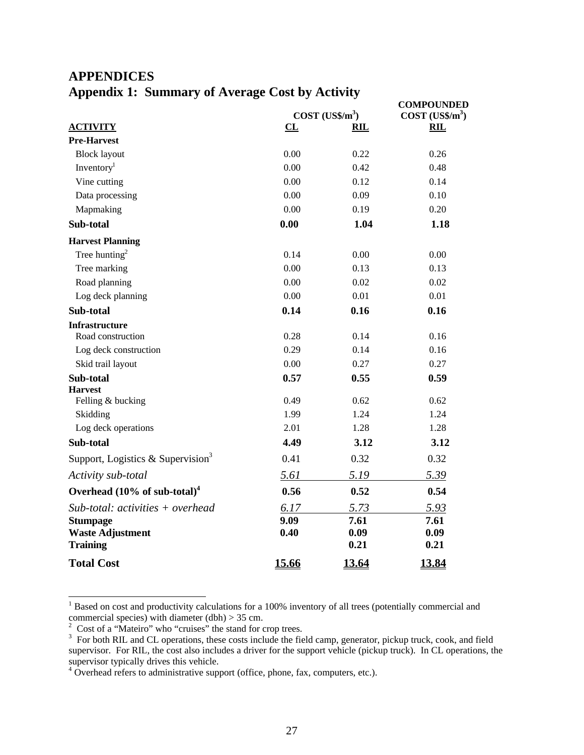# **APPENDICES Appendix 1: Summary of Average Cost by Activity**

|                                               |              | COST (USS/m <sup>3</sup> ) | <b>COMPOUNDED</b><br>$COST (US\frac{5}{m^3})$ |
|-----------------------------------------------|--------------|----------------------------|-----------------------------------------------|
| <b>ACTIVITY</b>                               | CL           | <b>RIL</b>                 | <b>RIL</b>                                    |
| <b>Pre-Harvest</b>                            |              |                            |                                               |
| <b>Block layout</b>                           | 0.00         | 0.22                       | 0.26                                          |
| Inventory <sup>1</sup>                        | 0.00         | 0.42                       | 0.48                                          |
| Vine cutting                                  | 0.00         | 0.12                       | 0.14                                          |
| Data processing                               | 0.00         | 0.09                       | 0.10                                          |
| Mapmaking                                     | 0.00         | 0.19                       | 0.20                                          |
| Sub-total                                     | 0.00         | 1.04                       | 1.18                                          |
| <b>Harvest Planning</b>                       |              |                            |                                               |
| Tree hunting <sup>2</sup>                     | 0.14         | 0.00                       | 0.00                                          |
| Tree marking                                  | 0.00         | 0.13                       | 0.13                                          |
| Road planning                                 | 0.00         | 0.02                       | 0.02                                          |
| Log deck planning                             | 0.00         | 0.01                       | 0.01                                          |
| Sub-total                                     | 0.14         | 0.16                       | 0.16                                          |
| <b>Infrastructure</b>                         |              |                            |                                               |
| Road construction                             | 0.28         | 0.14                       | 0.16                                          |
| Log deck construction                         | 0.29         | 0.14                       | 0.16                                          |
| Skid trail layout                             | 0.00         | 0.27                       | 0.27                                          |
| Sub-total                                     | 0.57         | 0.55                       | 0.59                                          |
| <b>Harvest</b><br>Felling & bucking           | 0.49         | 0.62                       | 0.62                                          |
| Skidding                                      | 1.99         | 1.24                       | 1.24                                          |
| Log deck operations                           | 2.01         | 1.28                       | 1.28                                          |
| Sub-total                                     | 4.49         | 3.12                       | 3.12                                          |
| Support, Logistics & Supervision <sup>3</sup> | 0.41         | 0.32                       | 0.32                                          |
| Activity sub-total                            | 5.61         | 5.19                       | 5.39                                          |
| Overhead $(10\% \text{ of sub-total})^4$      | 0.56         | 0.52                       | 0.54                                          |
| $Sub$ -total: activities + overhead           | 6.17         | 5.73                       | 5.93                                          |
| <b>Stumpage</b>                               | 9.09         | 7.61                       | 7.61                                          |
| <b>Waste Adjustment</b>                       | 0.40         | 0.09                       | 0.09                                          |
| <b>Training</b>                               |              | 0.21                       | 0.21                                          |
| <b>Total Cost</b>                             | <u>15.66</u> | 13.64                      | 13.84                                         |

<sup>1</sup> Based on cost and productivity calculations for a 100% inventory of all trees (potentially commercial and <sup>1</sup>

commercial species) with diameter (dbh) > 35 cm.<br>
<sup>2</sup> Cost of a "Mateiro" who "cruises" the stand for crop trees.<br>
<sup>3</sup> For both RIL and CL operations, these costs include the field camp, generator, pickup truck, cook, and supervisor. For RIL, the cost also includes a driver for the support vehicle (pickup truck). In CL operations, the supervisor typically drives this vehicle.<br><sup>4</sup> Overhead refers to administrative support (office, phone, fax, computers, etc.).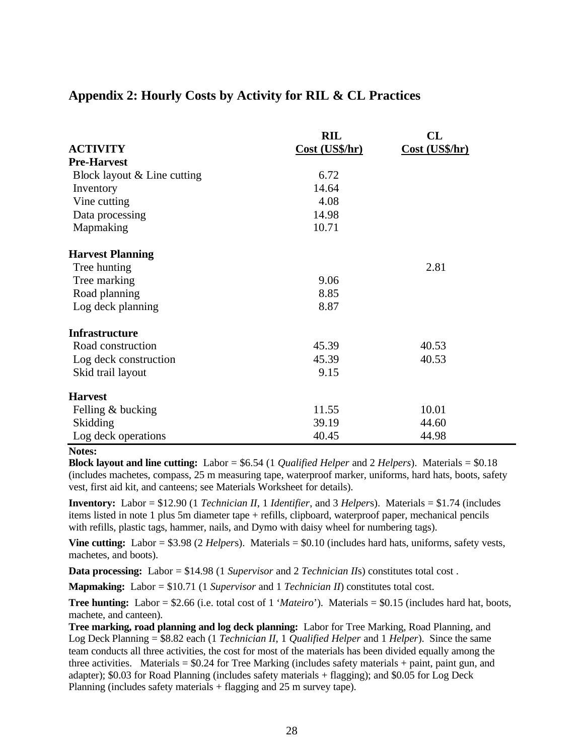## **Appendix 2: Hourly Costs by Activity for RIL & CL Practices**

|                             | <b>RIL</b>     | CL             |
|-----------------------------|----------------|----------------|
| <b>ACTIVITY</b>             | Cost (US\$/hr) | Cost (US\$/hr) |
| <b>Pre-Harvest</b>          |                |                |
| Block layout & Line cutting | 6.72           |                |
| Inventory                   | 14.64          |                |
| Vine cutting                | 4.08           |                |
| Data processing             | 14.98          |                |
| Mapmaking                   | 10.71          |                |
| <b>Harvest Planning</b>     |                |                |
| Tree hunting                |                | 2.81           |
| Tree marking                | 9.06           |                |
| Road planning               | 8.85           |                |
| Log deck planning           | 8.87           |                |
| <b>Infrastructure</b>       |                |                |
| Road construction           | 45.39          | 40.53          |
| Log deck construction       | 45.39          | 40.53          |
| Skid trail layout           | 9.15           |                |
| <b>Harvest</b>              |                |                |
| Felling & bucking           | 11.55          | 10.01          |
| Skidding                    | 39.19          | 44.60          |
| Log deck operations         | 40.45          | 44.98          |

**Notes:**

**Block layout and line cutting:** Labor = \$6.54 (1 *Qualified Helper* and 2 *Helpers*). Materials = \$0.18 (includes machetes, compass, 25 m measuring tape, waterproof marker, uniforms, hard hats, boots, safety vest, first aid kit, and canteens; see Materials Worksheet for details).

**Inventory:** Labor = \$12.90 (1 *Technician II*, 1 *Identifier*, and 3 *Helper*s). Materials = \$1.74 (includes items listed in note 1 plus 5m diameter tape + refills, clipboard, waterproof paper, mechanical pencils with refills, plastic tags, hammer, nails, and Dymo with daisy wheel for numbering tags).

**Vine cutting:** Labor = \$3.98 (2 *Helper*s). Materials = \$0.10 (includes hard hats, uniforms, safety vests, machetes, and boots).

**Data processing:** Labor = \$14.98 (1 *Supervisor* and 2 *Technician II*s) constitutes total cost .

**Mapmaking:** Labor = \$10.71 (1 *Supervisor* and 1 *Technician II*) constitutes total cost.

**Tree hunting:** Labor = \$2.66 (i.e. total cost of 1 '*Mateiro*'). Materials = \$0.15 (includes hard hat, boots, machete, and canteen).

**Tree marking, road planning and log deck planning:** Labor for Tree Marking, Road Planning, and Log Deck Planning = \$8.82 each (1 *Technician II*, 1 *Qualified Helper* and 1 *Helper*). Since the same team conducts all three activities, the cost for most of the materials has been divided equally among the three activities. Materials  $=$  \$0.24 for Tree Marking (includes safety materials  $+$  paint, paint gun, and adapter); \$0.03 for Road Planning (includes safety materials + flagging); and \$0.05 for Log Deck Planning (includes safety materials + flagging and 25 m survey tape).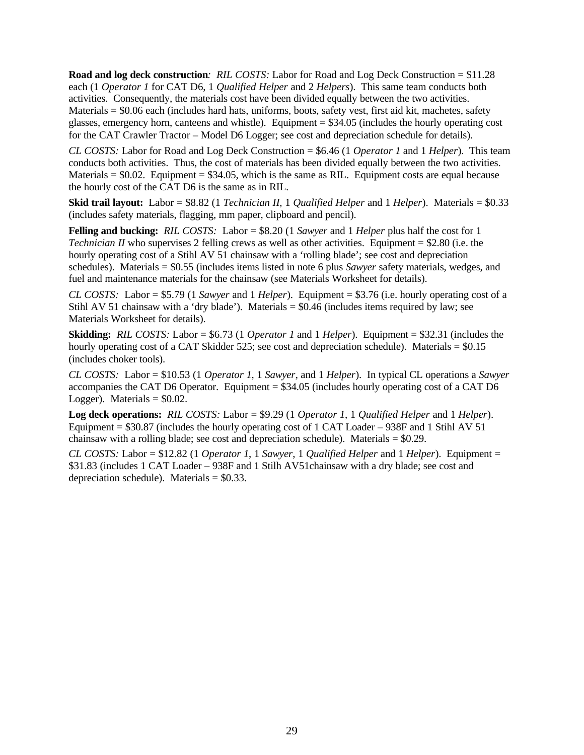**Road and log deck construction***: RIL COSTS:* Labor for Road and Log Deck Construction = \$11.28 each (1 *Operator 1* for CAT D6, 1 *Qualified Helper* and 2 *Helpers*). This same team conducts both activities. Consequently, the materials cost have been divided equally between the two activities. Materials = \$0.06 each (includes hard hats, uniforms, boots, safety vest, first aid kit, machetes, safety glasses, emergency horn, canteens and whistle). Equipment = \$34.05 (includes the hourly operating cost for the CAT Crawler Tractor – Model D6 Logger; see cost and depreciation schedule for details).

*CL COSTS:* Labor for Road and Log Deck Construction = \$6.46 (1 *Operator 1* and 1 *Helper*). This team conducts both activities. Thus, the cost of materials has been divided equally between the two activities. Materials  $= $0.02$ . Equipment  $= $34.05$ , which is the same as RIL. Equipment costs are equal because the hourly cost of the CAT D6 is the same as in RIL.

**Skid trail layout:** Labor = \$8.82 (1 *Technician II*, 1 *Qualified Helper* and 1 *Helper*). Materials = \$0.33 (includes safety materials, flagging, mm paper, clipboard and pencil).

**Felling and bucking:** *RIL COSTS:* Labor = \$8.20 (1 *Sawyer* and 1 *Helper* plus half the cost for 1 *Technician II* who supervises 2 felling crews as well as other activities. Equipment = \$2.80 (i.e. the hourly operating cost of a Stihl AV 51 chainsaw with a 'rolling blade'; see cost and depreciation schedules). Materials = \$0.55 (includes items listed in note 6 plus *Sawyer* safety materials, wedges, and fuel and maintenance materials for the chainsaw (see Materials Worksheet for details).

*CL COSTS:* Labor = \$5.79 (1 *Sawyer* and 1 *Helper*). Equipment = \$3.76 (i.e. hourly operating cost of a Stihl AV 51 chainsaw with a 'dry blade'). Materials  $= $0.46$  (includes items required by law; see Materials Worksheet for details).

**Skidding:** *RIL COSTS:* Labor = \$6.73 (1 *Operator 1* and 1 *Helper*). Equipment = \$32.31 (includes the hourly operating cost of a CAT Skidder 525; see cost and depreciation schedule). Materials = \$0.15 (includes choker tools).

*CL COSTS:* Labor = \$10.53 (1 *Operator 1*, 1 *Sawyer*, and 1 *Helper*). In typical CL operations a *Sawyer* accompanies the CAT D6 Operator. Equipment = \$34.05 (includes hourly operating cost of a CAT D6 Logger). Materials  $=$  \$0.02.

**Log deck operations:** *RIL COSTS:* Labor = \$9.29 (1 *Operator 1*, 1 *Qualified Helper* and 1 *Helper*). Equipment  $= $30.87$  (includes the hourly operating cost of 1 CAT Loader – 938F and 1 Stihl AV 51 chainsaw with a rolling blade; see cost and depreciation schedule). Materials = \$0.29.

*CL COSTS:* Labor = \$12.82 (1 *Operator 1*, 1 *Sawyer*, 1 *Qualified Helper* and 1 *Helper*). Equipment = \$31.83 (includes 1 CAT Loader – 938F and 1 Stilh AV51chainsaw with a dry blade; see cost and depreciation schedule). Materials  $=$  \$0.33.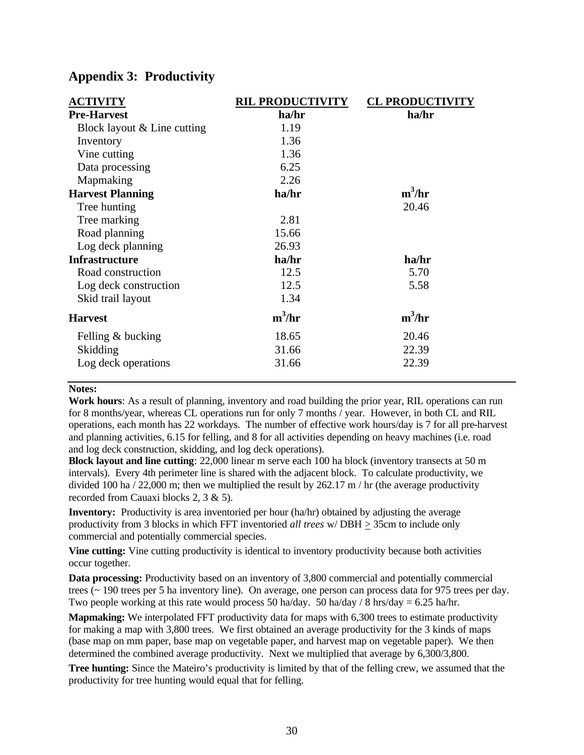| <b>ACTIVITY</b>             | <b>RIL PRODUCTIVITY</b> | <b>CL PRODUCTIVITY</b> |
|-----------------------------|-------------------------|------------------------|
| <b>Pre-Harvest</b>          | ha/hr                   | ha/hr                  |
| Block layout & Line cutting | 1.19                    |                        |
| Inventory                   | 1.36                    |                        |
| Vine cutting                | 1.36                    |                        |
| Data processing             | 6.25                    |                        |
| Mapmaking                   | 2.26                    |                        |
| <b>Harvest Planning</b>     | ha/hr                   | $m^3/hr$               |
| Tree hunting                |                         | 20.46                  |
| Tree marking                | 2.81                    |                        |
| Road planning               | 15.66                   |                        |
| Log deck planning           | 26.93                   |                        |
| <b>Infrastructure</b>       | ha/hr                   | ha/hr                  |
| Road construction           | 12.5                    | 5.70                   |
| Log deck construction       | 12.5                    | 5.58                   |
| Skid trail layout           | 1.34                    |                        |
| <b>Harvest</b>              | $m^3/hr$                | $m^3/hr$               |
| Felling & bucking           | 18.65                   | 20.46                  |
| Skidding                    | 31.66                   | 22.39                  |
| Log deck operations         | 31.66                   | 22.39                  |

## **Appendix 3: Productivity**

#### **Notes:**

**Work hours**: As a result of planning, inventory and road building the prior year, RIL operations can run for 8 months/year, whereas CL operations run for only 7 months / year. However, in both CL and RIL operations, each month has 22 workdays. The number of effective work hours/day is 7 for all pre-harvest and planning activities, 6.15 for felling, and 8 for all activities depending on heavy machines (i.e. road and log deck construction, skidding, and log deck operations).

**Block layout and line cutting**: 22,000 linear m serve each 100 ha block (inventory transects at 50 m intervals). Every 4th perimeter line is shared with the adjacent block. To calculate productivity, we divided 100 ha / 22,000 m; then we multiplied the result by  $262.17 \text{ m}$  / hr (the average productivity recorded from Cauaxi blocks 2, 3 & 5).

**Inventory:** Productivity is area inventoried per hour (ha/hr) obtained by adjusting the average productivity from 3 blocks in which FFT inventoried *all trees* w/DBH  $\geq$  35cm to include only commercial and potentially commercial species.

**Vine cutting:** Vine cutting productivity is identical to inventory productivity because both activities occur together.

**Data processing:** Productivity based on an inventory of 3,800 commercial and potentially commercial trees (~ 190 trees per 5 ha inventory line). On average, one person can process data for 975 trees per day. Two people working at this rate would process 50 ha/day. 50 ha/day / 8 hrs/day =  $6.25$  ha/hr.

**Mapmaking:** We interpolated FFT productivity data for maps with 6,300 trees to estimate productivity for making a map with 3,800 trees. We first obtained an average productivity for the 3 kinds of maps (base map on mm paper, base map on vegetable paper, and harvest map on vegetable paper). We then determined the combined average productivity. Next we multiplied that average by 6,300/3,800.

**Tree hunting:** Since the Mateiro's productivity is limited by that of the felling crew, we assumed that the productivity for tree hunting would equal that for felling.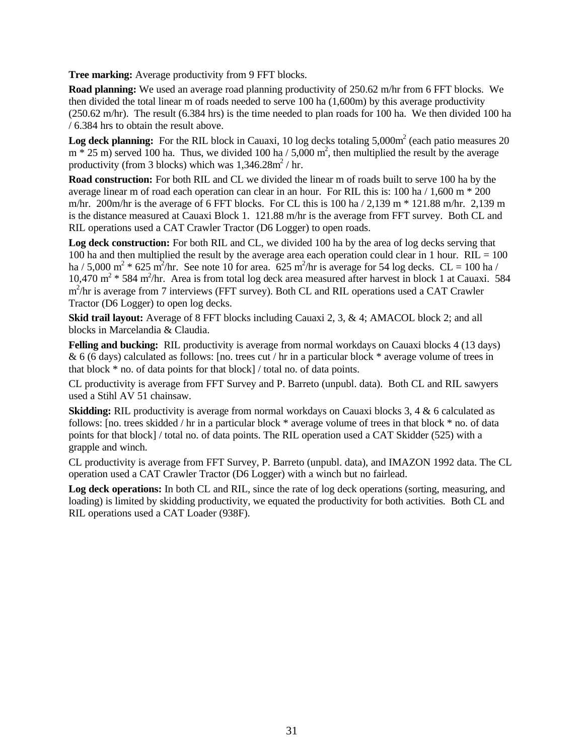**Tree marking:** Average productivity from 9 FFT blocks.

**Road planning:** We used an average road planning productivity of 250.62 m/hr from 6 FFT blocks. We then divided the total linear m of roads needed to serve 100 ha (1,600m) by this average productivity (250.62 m/hr). The result (6.384 hrs) is the time needed to plan roads for 100 ha. We then divided 100 ha / 6.384 hrs to obtain the result above.

**Log deck planning:** For the RIL block in Cauaxi, 10 log decks totaling 5,000m<sup>2</sup> (each patio measures 20)  $m * 25$  m) served 100 ha. Thus, we divided 100 ha / 5,000 m<sup>2</sup>, then multiplied the result by the average productivity (from 3 blocks) which was  $1,346.28 \text{m}^2$  / hr.

**Road construction:** For both RIL and CL we divided the linear m of roads built to serve 100 ha by the average linear m of road each operation can clear in an hour. For RIL this is: 100 ha  $/1,600$  m  $*$  200 m/hr. 200m/hr is the average of 6 FFT blocks. For CL this is  $100 \text{ ha} / 2,139 \text{ m} * 121.88 \text{ m/hr}$ . 2,139 m is the distance measured at Cauaxi Block 1. 121.88 m/hr is the average from FFT survey. Both CL and RIL operations used a CAT Crawler Tractor (D6 Logger) to open roads.

**Log deck construction:** For both RIL and CL, we divided 100 ha by the area of log decks serving that 100 ha and then multiplied the result by the average area each operation could clear in 1 hour.  $RIL = 100$ ha / 5,000 m<sup>2</sup>  $*$  625 m<sup>2</sup>/hr. See note 10 for area. 625 m<sup>2</sup>/hr is average for 54 log decks. CL = 100 ha / 10,470 m<sup>2</sup>  $*$  584 m<sup>2</sup>/hr. Area is from total log deck area measured after harvest in block 1 at Cauaxi. 584 m<sup>2</sup>/hr is average from 7 interviews (FFT survey). Both CL and RIL operations used a CAT Crawler Tractor (D6 Logger) to open log decks.

**Skid trail layout:** Average of 8 FFT blocks including Cauaxi 2, 3, & 4; AMACOL block 2; and all blocks in Marcelandia & Claudia.

**Felling and bucking:** RIL productivity is average from normal workdays on Cauaxi blocks 4 (13 days) & 6 (6 days) calculated as follows: [no. trees cut / hr in a particular block \* average volume of trees in that block \* no. of data points for that block] / total no. of data points.

CL productivity is average from FFT Survey and P. Barreto (unpubl. data). Both CL and RIL sawyers used a Stihl AV 51 chainsaw.

**Skidding:** RIL productivity is average from normal workdays on Cauaxi blocks 3, 4 & 6 calculated as follows: [no. trees skidded / hr in a particular block \* average volume of trees in that block \* no. of data points for that block] / total no. of data points. The RIL operation used a CAT Skidder (525) with a grapple and winch.

CL productivity is average from FFT Survey, P. Barreto (unpubl. data), and IMAZON 1992 data. The CL operation used a CAT Crawler Tractor (D6 Logger) with a winch but no fairlead.

**Log deck operations:** In both CL and RIL, since the rate of log deck operations (sorting, measuring, and loading) is limited by skidding productivity, we equated the productivity for both activities. Both CL and RIL operations used a CAT Loader (938F).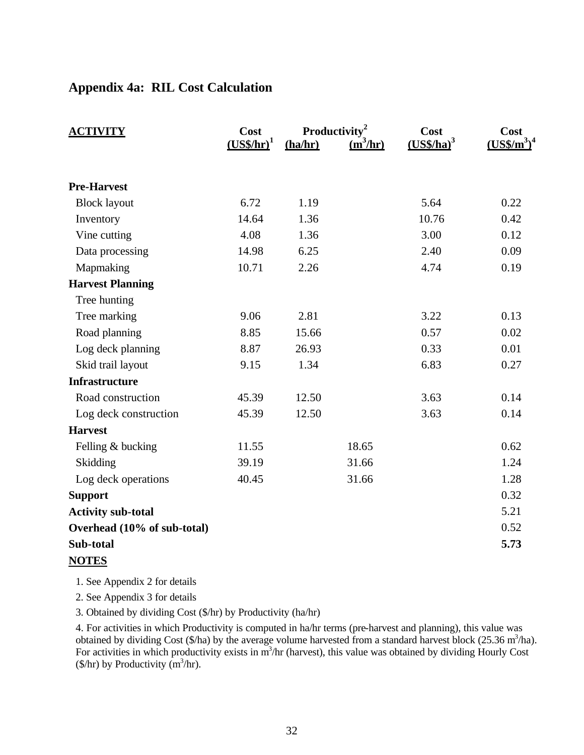## **Appendix 4a: RIL Cost Calculation**

| <b>ACTIVITY</b>             | Cost<br>$(USS/hr)^1$ | (ha/hr) | Productivity <sup>2</sup><br>$\frac{(\text{m}^3/\text{hr})}{(\text{hr})}$ | Cost<br>$(USS/ha)^3$ | Cost<br>$(US\frac{2}{3})^4$ |
|-----------------------------|----------------------|---------|---------------------------------------------------------------------------|----------------------|-----------------------------|
| <b>Pre-Harvest</b>          |                      |         |                                                                           |                      |                             |
| <b>Block layout</b>         | 6.72                 | 1.19    |                                                                           | 5.64                 | 0.22                        |
| Inventory                   | 14.64                | 1.36    |                                                                           | 10.76                | 0.42                        |
| Vine cutting                | 4.08                 | 1.36    |                                                                           | 3.00                 | 0.12                        |
| Data processing             | 14.98                | 6.25    |                                                                           | 2.40                 | 0.09                        |
| Mapmaking                   | 10.71                | 2.26    |                                                                           | 4.74                 | 0.19                        |
| <b>Harvest Planning</b>     |                      |         |                                                                           |                      |                             |
| Tree hunting                |                      |         |                                                                           |                      |                             |
| Tree marking                | 9.06                 | 2.81    |                                                                           | 3.22                 | 0.13                        |
| Road planning               | 8.85                 | 15.66   |                                                                           | 0.57                 | 0.02                        |
| Log deck planning           | 8.87                 | 26.93   |                                                                           | 0.33                 | 0.01                        |
| Skid trail layout           | 9.15                 | 1.34    |                                                                           | 6.83                 | 0.27                        |
| <b>Infrastructure</b>       |                      |         |                                                                           |                      |                             |
| Road construction           | 45.39                | 12.50   |                                                                           | 3.63                 | 0.14                        |
| Log deck construction       | 45.39                | 12.50   |                                                                           | 3.63                 | 0.14                        |
| <b>Harvest</b>              |                      |         |                                                                           |                      |                             |
| Felling & bucking           | 11.55                |         | 18.65                                                                     |                      | 0.62                        |
| Skidding                    | 39.19                |         | 31.66                                                                     |                      | 1.24                        |
| Log deck operations         | 40.45                |         | 31.66                                                                     |                      | 1.28                        |
| <b>Support</b>              |                      |         |                                                                           |                      | 0.32                        |
| <b>Activity sub-total</b>   |                      |         |                                                                           |                      | 5.21                        |
| Overhead (10% of sub-total) |                      |         |                                                                           |                      | 0.52                        |
| Sub-total                   |                      |         |                                                                           |                      | 5.73                        |
| <b>NOTES</b>                |                      |         |                                                                           |                      |                             |

1. See Appendix 2 for details

2. See Appendix 3 for details

3. Obtained by dividing Cost (\$/hr) by Productivity (ha/hr)

4. For activities in which Productivity is computed in ha/hr terms (pre-harvest and planning), this value was obtained by dividing Cost (\$/ha) by the average volume harvested from a standard harvest block (25.36 m<sup>3</sup>/ha). For activities in which productivity exists in  $m^3$ /hr (harvest), this value was obtained by dividing Hourly Cost  $(\frac{\sqrt{3}}{\hbar})$  by Productivity  $\frac{\sin^3}{\hbar}.$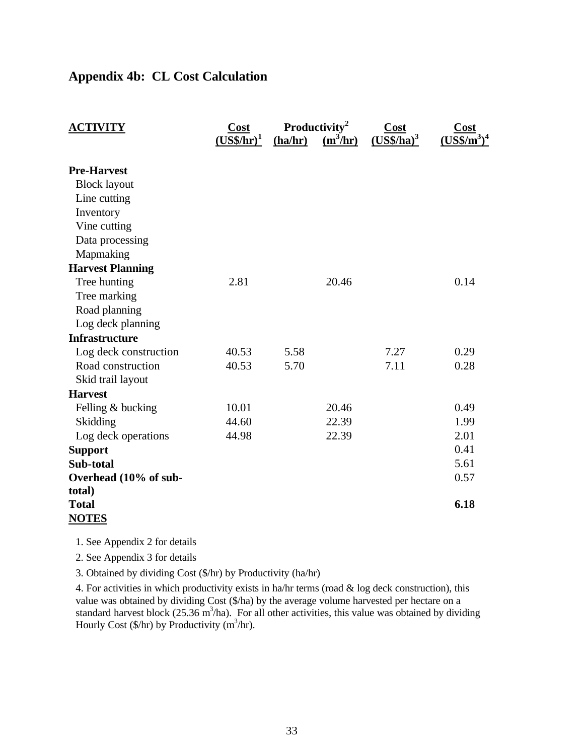# **Appendix 4b: CL Cost Calculation**

| <b>ACTIVITY</b>         | <b>Cost</b><br>$(USS/hr)^1$ | (ha/hr) | Productivity <sup>2</sup><br>$\frac{(\text{m}^3/\text{hr})}{(\text{hr})^2}$ | <b>Cost</b><br>$(USS/ha)^3$ | $\overline{\text{Cost}}$ |
|-------------------------|-----------------------------|---------|-----------------------------------------------------------------------------|-----------------------------|--------------------------|
| <b>Pre-Harvest</b>      |                             |         |                                                                             |                             |                          |
| <b>Block layout</b>     |                             |         |                                                                             |                             |                          |
| Line cutting            |                             |         |                                                                             |                             |                          |
| Inventory               |                             |         |                                                                             |                             |                          |
| Vine cutting            |                             |         |                                                                             |                             |                          |
| Data processing         |                             |         |                                                                             |                             |                          |
| Mapmaking               |                             |         |                                                                             |                             |                          |
| <b>Harvest Planning</b> |                             |         |                                                                             |                             |                          |
| Tree hunting            | 2.81                        |         | 20.46                                                                       |                             | 0.14                     |
| Tree marking            |                             |         |                                                                             |                             |                          |
| Road planning           |                             |         |                                                                             |                             |                          |
| Log deck planning       |                             |         |                                                                             |                             |                          |
| <b>Infrastructure</b>   |                             |         |                                                                             |                             |                          |
| Log deck construction   | 40.53                       | 5.58    |                                                                             | 7.27                        | 0.29                     |
| Road construction       | 40.53                       | 5.70    |                                                                             | 7.11                        | 0.28                     |
| Skid trail layout       |                             |         |                                                                             |                             |                          |
| <b>Harvest</b>          |                             |         |                                                                             |                             |                          |
| Felling & bucking       | 10.01                       |         | 20.46                                                                       |                             | 0.49                     |
| Skidding                | 44.60                       |         | 22.39                                                                       |                             | 1.99                     |
| Log deck operations     | 44.98                       |         | 22.39                                                                       |                             | 2.01                     |
| <b>Support</b>          |                             |         |                                                                             |                             | 0.41                     |
| Sub-total               |                             |         |                                                                             |                             | 5.61                     |
| Overhead (10% of sub-   |                             |         |                                                                             |                             | 0.57                     |
| total)                  |                             |         |                                                                             |                             |                          |
| <b>Total</b>            |                             |         |                                                                             |                             | 6.18                     |
| <b>NOTES</b>            |                             |         |                                                                             |                             |                          |

1. See Appendix 2 for details

2. See Appendix 3 for details

3. Obtained by dividing Cost (\$/hr) by Productivity (ha/hr)

4. For activities in which productivity exists in ha/hr terms (road & log deck construction), this value was obtained by dividing Cost (\$/ha) by the average volume harvested per hectare on a standard harvest block  $(25.36 \text{ m}^3/\text{ha})$ . For all other activities, this value was obtained by dividing Hourly Cost  $(\frac{f}{h})$  by Productivity (m<sup>3</sup>/hr).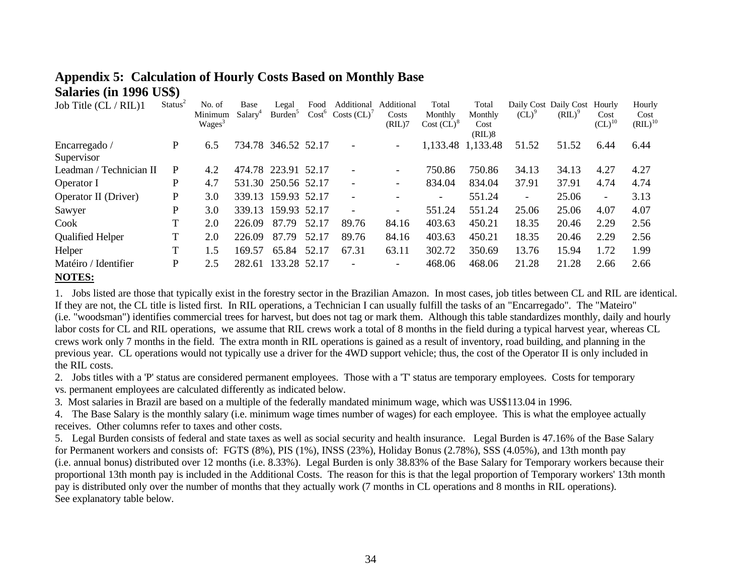| Job Title (CL / RIL)1       | Status <sup>2</sup> | No. of             | Base                | Legal               | Food  | Additional          | Additional               | Total                  | Total             |                                 | Daily Cost Daily Cost | Hourly                   | Hourly       |
|-----------------------------|---------------------|--------------------|---------------------|---------------------|-------|---------------------|--------------------------|------------------------|-------------------|---------------------------------|-----------------------|--------------------------|--------------|
|                             |                     | Minimum            | Salary <sup>4</sup> | Burden <sup>5</sup> |       | $Cost6 Costs (CL)7$ | Costs                    | Monthly                | Monthly           | $\left( CL\right)$ <sup>9</sup> | $(RIL)^9$             | Cost                     | Cost         |
|                             |                     | Wages <sup>3</sup> |                     |                     |       |                     | (RIL)7                   | Cost (CL) <sup>8</sup> | Cost              |                                 |                       | $CL)^{10}$               | $(RIL)^{10}$ |
|                             |                     |                    |                     |                     |       |                     |                          |                        | (RIL)8            |                                 |                       |                          |              |
| Encarregado /               | P                   | 6.5                |                     | 734.78 346.52 52.17 |       |                     | $\overline{\phantom{a}}$ |                        | 1,133.48 1,133.48 | 51.52                           | 51.52                 | 6.44                     | 6.44         |
| Supervisor                  |                     |                    |                     |                     |       |                     |                          |                        |                   |                                 |                       |                          |              |
| Leadman / Technician II     | P                   | 4.2                |                     | 474.78 223.91 52.17 |       |                     | $\overline{\phantom{a}}$ | 750.86                 | 750.86            | 34.13                           | 34.13                 | 4.27                     | 4.27         |
| Operator I                  | P                   | 4.7                |                     | 531.30 250.56 52.17 |       |                     | $\overline{\phantom{a}}$ | 834.04                 | 834.04            | 37.91                           | 37.91                 | 4.74                     | 4.74         |
| <b>Operator II</b> (Driver) | P                   | 3.0                |                     | 339.13 159.93 52.17 |       |                     |                          |                        | 551.24            | $\overline{\phantom{a}}$        | 25.06                 | $\overline{\phantom{a}}$ | 3.13         |
| Sawyer                      | P                   | 3.0                |                     | 339.13 159.93 52.17 |       |                     | $\overline{\phantom{a}}$ | 551.24                 | 551.24            | 25.06                           | 25.06                 | 4.07                     | 4.07         |
| Cook                        | т                   | 2.0                | 226.09              | 87.79               | 52.17 | 89.76               | 84.16                    | 403.63                 | 450.21            | 18.35                           | 20.46                 | 2.29                     | 2.56         |
| <b>Qualified Helper</b>     |                     | 2.0                | 226.09              | 87.79               | 52.17 | 89.76               | 84.16                    | 403.63                 | 450.21            | 18.35                           | 20.46                 | 2.29                     | 2.56         |
| Helper                      |                     | 1.5                | 169.57              | 65.84               | 52.17 | 67.31               | 63.11                    | 302.72                 | 350.69            | 13.76                           | 15.94                 | 1.72                     | 1.99         |
| Matéiro / Identifier        | P                   | 2.5                | 282.61              | 133.28 52.17        |       |                     | $\overline{\phantom{a}}$ | 468.06                 | 468.06            | 21.28                           | 21.28                 | 2.66                     | 2.66         |
| $- - - - - - -$             |                     |                    |                     |                     |       |                     |                          |                        |                   |                                 |                       |                          |              |

# **Appendix 5: Calculation of Hourly Costs Based on Monthly Base Salaries (in 1996 US\$)**

#### **NOTES:**

1. Jobs listed are those that typically exist in the forestry sector in the Brazilian Amazon. In most cases, job titles between CL and RIL are identical. If they are not, the CL title is listed first. In RIL operations, a Technician I can usually fulfill the tasks of an "Encarregado". The "Mateiro" (i.e. "woodsman") identifies commercial trees for harvest, but does not tag or mark them. Although this table standardizes monthly, daily and hourly labor costs for CL and RIL operations, we assume that RIL crews work a total of 8 months in the field during a typical harvest year, whereas CL crews work only 7 months in the field. The extra month in RIL operations is gained as a result of inventory, road building, and planning in the previous year. CL operations would not typically use a driver for the 4WD support vehicle; thus, the cost of the Operator II is only included in the RIL costs.

2. Jobs titles with a 'P' status are considered permanent employees. Those with a 'T' status are temporary employees. Costs for temporary vs. permanent employees are calculated differently as indicated below.

3. Most salaries in Brazil are based on a multiple of the federally mandated minimum wage, which was US\$113.04 in 1996.

4. The Base Salary is the monthly salary (i.e. minimum wage times number of wages) for each employee. This is what the employee actually receives. Other columns refer to taxes and other costs.

5. Legal Burden consists of federal and state taxes as well as social security and health insurance. Legal Burden is 47.16% of the Base Salary for Permanent workers and consists of: FGTS (8%), PIS (1%), INSS (23%), Holiday Bonus (2.78%), SSS (4.05%), and 13th month pay (i.e. annual bonus) distributed over 12 months (i.e. 8.33%). Legal Burden is only 38.83% of the Base Salary for Temporary workers because their proportional 13th month pay is included in the Additional Costs. The reason for this is that the legal proportion of Temporary workers' 13th month pay is distributed only over the number of months that they actually work (7 months in CL operations and 8 months in RIL operations). See explanatory table below.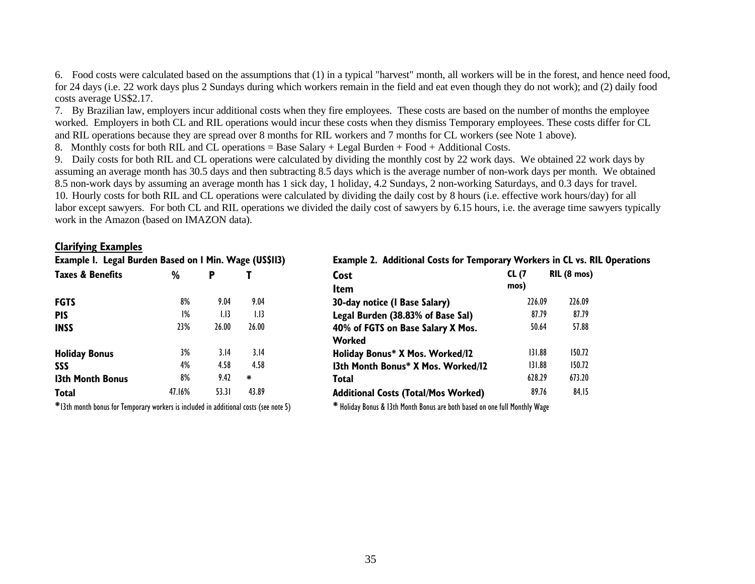6. Food costs were calculated based on the assumptions that (1) in a typical "harvest" month, all workers will be in the forest, and hence need food, for 24 days (i.e. 22 work days plus 2 Sundays during which workers remain in the field and eat even though they do not work); and (2) daily food costs average US\$2.17.

7. By Brazilian law, employers incur additional costs when they fire employees. These costs are based on the number of months the employee worked. Employers in both CL and RIL operations would incur these costs when they dismiss Temporary employees. These costs differ for CL and RIL operations because they are spread over 8 months for RIL workers and 7 months for CL workers (see Note 1 above).

8. Monthly costs for both RIL and CL operations = Base Salary + Legal Burden + Food + Additional Costs.

9. Daily costs for both RIL and CL operations were calculated by dividing the monthly cost by 22 work days. We obtained 22 work days by assuming an average month has 30.5 days and then subtracting 8.5 days which is the average number of non-work days per month. We obtained 8.5 non-work days by assuming an average month has 1 sick day, 1 holiday, 4.2 Sundays, 2 non-working Saturdays, and 0.3 days for travel. 10. Hourly costs for both RIL and CL operations were calculated by dividing the daily cost by 8 hours (i.e. effective work hours/day) for all labor except sawyers. For both CL and RIL operations we divided the daily cost of sawyers by 6.15 hours, i.e. the average time sawyers typically work in the Amazon (based on IMAZON data).

#### **Clarifying Examples**

| Example I. Legal Burden Based on I Min. Wage (US\$113) |        |       | <b>Example 2. Additional Costs for Ten</b> |                                           |
|--------------------------------------------------------|--------|-------|--------------------------------------------|-------------------------------------------|
| <b>Taxes &amp; Benefits</b>                            | %      | P     |                                            | Cost                                      |
|                                                        |        |       |                                            | Item                                      |
| <b>FGTS</b>                                            | 8%     | 9.04  | 9.04                                       | 30-day notice (I Base Salary)             |
| <b>PIS</b>                                             | $1\%$  | 1.13  | 1.13                                       | Legal Burden (38.83% of Base Sal)         |
| <b>INSS</b>                                            | 23%    | 26.00 | 26.00                                      | 40% of FGTS on Base Salary X Mos.         |
|                                                        |        |       |                                            | Worked                                    |
| <b>Holiday Bonus</b>                                   | 3%     | 3.14  | 3.14                                       | Holiday Bonus* X Mos. Worked/I2           |
| sss                                                    | 4%     | 4.58  | 4.58                                       | 13th Month Bonus* X Mos. Worked/          |
| 13th Month Bonus                                       | 8%     | 9.42  | ₩                                          | Total                                     |
| Total                                                  | 47.16% | 53.31 | 43.89                                      | <b>Additional Costs (Total/Mos Worked</b> |
|                                                        |        |       |                                            |                                           |

#### **Example 2. Additional Costs for Temporary Workers in CL vs. RIL Operations**

| Taxes & Benefits        | %      | P     |       | Cost                                       | CL (7  | $RIL(8 \text{ mos})$ |
|-------------------------|--------|-------|-------|--------------------------------------------|--------|----------------------|
|                         |        |       |       | <b>Item</b>                                | mos)   |                      |
| <b>FGTS</b>             | 8%     | 9.04  | 9.04  | 30-day notice (I Base Salary)              | 226.09 | 226.09               |
| <b>PIS</b>              | 1%     | 1.13  | 1.13  | Legal Burden (38.83% of Base Sal)          | 87.79  | 87.79                |
| <b>INSS</b>             | 23%    | 26.00 | 26.00 | 40% of FGTS on Base Salary X Mos.          | 50.64  | 57.88                |
|                         |        |       |       | Worked                                     |        |                      |
| <b>Holiday Bonus</b>    | 3%     | 3.14  | 3.14  | Holiday Bonus* X Mos. Worked/I2            | 131.88 | 150.72               |
| sss                     | 4%     | 4.58  | 4.58  | 13th Month Bonus* X Mos. Worked/12         | 131.88 | 150.72               |
| <b>13th Month Bonus</b> | 8%     | 9.42  | ₩     | Total                                      | 628.29 | 673.20               |
| Total                   | 47.16% | 53.31 | 43.89 | <b>Additional Costs (Total/Mos Worked)</b> | 89.76  | 84.15                |
|                         |        |       |       |                                            |        |                      |

**\***13th month bonus for Temporary workers is included in additional costs (see note 5) **\*** Holiday Bonus & 13th Month Bonus are both based on one full Monthly Wage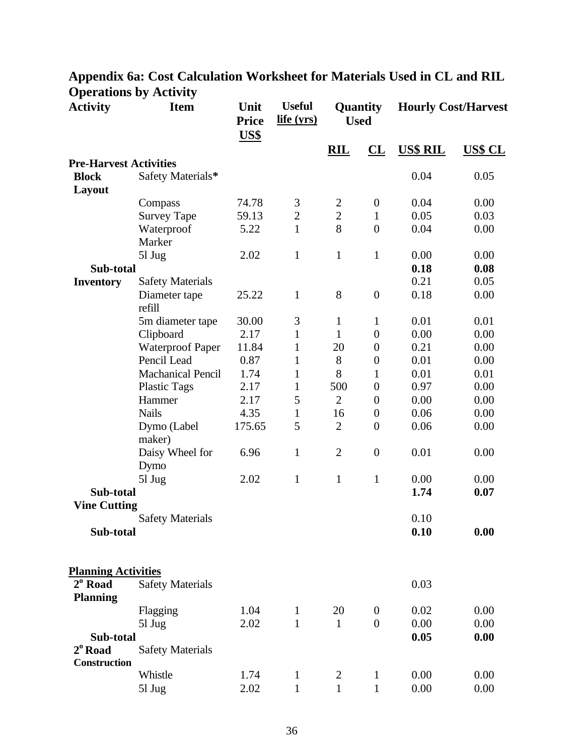#### **Activity Item Unit Price US\$ Useful life (yrs) Quantity Used Hourly Cost/Harvest RIL CL US\$ RIL US\$ CL Pre-Harvest Activities Block Layout** Safety Materials\* 0.04 0.05 Compass 74.78 3 2 0 0.04 0.00 Survey Tape 59.13 2 2 1 0.05 0.03 Waterproof Marker 5.22 1 8 0 0.04 0.00 5l Jug 2.02 1 1 1 0.00 0.00 **Sub-total 0.18 0.08 Inventory** Safety Materials 0.21 0.05 Diameter tape refill 25.22 1 8 0 0.18 0.00 5m diameter tape 30.00 3 1 1 0.01 0.01 Clipboard 2.17 1 1 0 0.00 0.00 Waterproof Paper 11.84 1 20 0 0.21 0.00 Pencil Lead 0.87 1 8 0 0.01 0.00 Machanical Pencil 1.74 1 8 1 0.01 0.01 Plastic Tags 2.17 1 500 0 0.97 0.00 Hammer 2.17 5 2 0 0.00 0.00 Nails 4.35 1 16 0 0.06 0.00 Dymo (Label maker) 175.65 5 2 0 0.06 0.00 Daisy Wheel for Dymo 6.96 1 2 0 0.01 0.00 5l Jug 2.02 1 1 1 0.00 0.00 **Sub-total 1.74 0.07 Vine Cutting** Safety Materials 0.10 **Sub-total 0.10 0.00 Planning Activities 2 o Road Planning** Safety Materials 0.03 Flagging 1.04 1 20 0 0.02 0.00 5l Jug 2.02 1 1 0 0.00 0.00 **Sub-total 0.05 0.00 2 <sup>o</sup>Road Construction** Safety Materials Whistle 1.74 1 2 1 0.00 0.00 5l Jug 2.02 1 1 1 0.00 0.00

# **Appendix 6a: Cost Calculation Worksheet for Materials Used in CL and RIL Operations by Activity**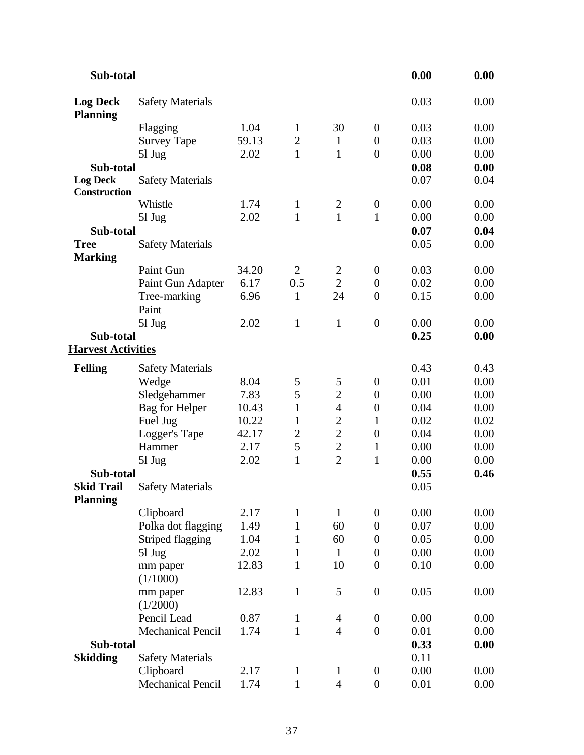| Sub-total                              |                          |       |                |                |                  | 0.00 | 0.00 |
|----------------------------------------|--------------------------|-------|----------------|----------------|------------------|------|------|
| <b>Log Deck</b><br><b>Planning</b>     | <b>Safety Materials</b>  |       |                |                |                  | 0.03 | 0.00 |
|                                        | Flagging                 | 1.04  | $\mathbf 1$    | 30             | $\mathbf{0}$     | 0.03 | 0.00 |
|                                        | <b>Survey Tape</b>       | 59.13 | $\overline{2}$ | $\mathbf{1}$   | $\boldsymbol{0}$ | 0.03 | 0.00 |
|                                        | $51 \text{ Jug}$         | 2.02  | $\mathbf{1}$   | $\mathbf{1}$   | $\overline{0}$   | 0.00 | 0.00 |
| Sub-total                              |                          |       |                |                |                  | 0.08 | 0.00 |
| <b>Log Deck</b><br><b>Construction</b> | <b>Safety Materials</b>  |       |                |                |                  | 0.07 | 0.04 |
|                                        | Whistle                  | 1.74  | $\mathbf{1}$   | $\mathbf{2}$   | $\boldsymbol{0}$ | 0.00 | 0.00 |
|                                        | 51 Jug                   | 2.02  | $\mathbf{1}$   | $\mathbf{1}$   | $\mathbf{1}$     | 0.00 | 0.00 |
| Sub-total                              |                          |       |                |                |                  | 0.07 | 0.04 |
| <b>Tree</b><br><b>Marking</b>          | <b>Safety Materials</b>  |       |                |                |                  | 0.05 | 0.00 |
|                                        | Paint Gun                | 34.20 | $\overline{2}$ | $\overline{c}$ | $\boldsymbol{0}$ | 0.03 | 0.00 |
|                                        | Paint Gun Adapter        | 6.17  | 0.5            | $\overline{2}$ | $\boldsymbol{0}$ | 0.02 | 0.00 |
|                                        | Tree-marking             | 6.96  | $\mathbf{1}$   | 24             | $\boldsymbol{0}$ | 0.15 | 0.00 |
|                                        | Paint                    |       |                |                |                  |      |      |
|                                        | 51 Jug                   | 2.02  | $\mathbf{1}$   | $\mathbf{1}$   | $\boldsymbol{0}$ | 0.00 | 0.00 |
| Sub-total<br><b>Harvest Activities</b> |                          |       |                |                |                  | 0.25 | 0.00 |
| <b>Felling</b>                         | <b>Safety Materials</b>  |       |                |                |                  | 0.43 | 0.43 |
|                                        | Wedge                    | 8.04  | $\mathfrak{S}$ | 5              | $\boldsymbol{0}$ | 0.01 | 0.00 |
|                                        | Sledgehammer             | 7.83  | 5              | $\overline{2}$ | $\boldsymbol{0}$ | 0.00 | 0.00 |
|                                        | Bag for Helper           | 10.43 | $\mathbf{1}$   | $\overline{4}$ | $\boldsymbol{0}$ | 0.04 | 0.00 |
|                                        | Fuel Jug                 | 10.22 | $\mathbf{1}$   | $\overline{c}$ | $\mathbf{1}$     | 0.02 | 0.02 |
|                                        | Logger's Tape            | 42.17 | $\overline{2}$ | $\overline{2}$ | $\boldsymbol{0}$ | 0.04 | 0.00 |
|                                        | Hammer                   | 2.17  | 5              | $\overline{c}$ | $\mathbf{1}$     | 0.00 | 0.00 |
|                                        | $51 \text{ Jug}$         | 2.02  | $\mathbf{1}$   | $\overline{2}$ | $\mathbf{1}$     | 0.00 | 0.00 |
| Sub-total                              |                          |       |                |                |                  | 0.55 | 0.46 |
| <b>Skid Trail</b><br><b>Planning</b>   | <b>Safety Materials</b>  |       |                |                |                  | 0.05 |      |
|                                        | Clipboard                | 2.17  | $\mathbf{1}$   | $\mathbf{1}$   | $\boldsymbol{0}$ | 0.00 | 0.00 |
|                                        | Polka dot flagging       | 1.49  | 1              | 60             | $\overline{0}$   | 0.07 | 0.00 |
|                                        | <b>Striped flagging</b>  | 1.04  | 1              | 60             | $\overline{0}$   | 0.05 | 0.00 |
|                                        | $51 \text{ Jug}$         | 2.02  | $\mathbf{1}$   | $\mathbf{1}$   | $\boldsymbol{0}$ | 0.00 | 0.00 |
|                                        | mm paper<br>(1/1000)     | 12.83 | $\mathbf{1}$   | 10             | $\boldsymbol{0}$ | 0.10 | 0.00 |
|                                        | mm paper<br>(1/2000)     | 12.83 | $\mathbf{1}$   | 5              | $\boldsymbol{0}$ | 0.05 | 0.00 |
|                                        | Pencil Lead              | 0.87  | $\mathbf{1}$   | $\overline{4}$ | $\boldsymbol{0}$ | 0.00 | 0.00 |
|                                        | <b>Mechanical Pencil</b> | 1.74  | $\mathbf{1}$   | $\overline{4}$ | $\boldsymbol{0}$ | 0.01 | 0.00 |
| Sub-total                              |                          |       |                |                |                  | 0.33 | 0.00 |
| <b>Skidding</b>                        | <b>Safety Materials</b>  |       |                |                |                  | 0.11 |      |
|                                        | Clipboard                | 2.17  | $\mathbf{1}$   | $\mathbf{1}$   | $\boldsymbol{0}$ | 0.00 | 0.00 |
|                                        | Mechanical Pencil        | 1.74  | $\mathbf{1}$   | $\overline{4}$ | $\overline{0}$   | 0.01 | 0.00 |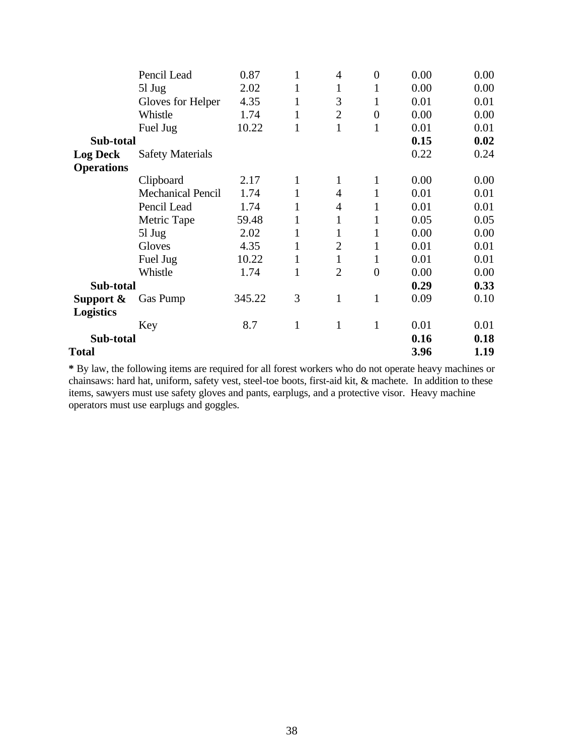|                   | Pencil Lead              | 0.87   | 1            | 4              | $\boldsymbol{0}$ | 0.00 | 0.00 |
|-------------------|--------------------------|--------|--------------|----------------|------------------|------|------|
|                   | $51 \mathrm{Jug}$        | 2.02   | $\mathbf{1}$ | 1              | 1                | 0.00 | 0.00 |
|                   | Gloves for Helper        | 4.35   | 1            | 3              | 1                | 0.01 | 0.01 |
|                   | Whistle                  | 1.74   | $\mathbf{1}$ | $\overline{2}$ | $\boldsymbol{0}$ | 0.00 | 0.00 |
|                   | Fuel Jug                 | 10.22  | $\mathbf{1}$ | 1              | $\mathbf{1}$     | 0.01 | 0.01 |
| Sub-total         |                          |        |              |                |                  | 0.15 | 0.02 |
| <b>Log Deck</b>   | <b>Safety Materials</b>  |        |              |                |                  | 0.22 | 0.24 |
| <b>Operations</b> |                          |        |              |                |                  |      |      |
|                   | Clipboard                | 2.17   | $\mathbf{1}$ | 1              | $\mathbf{1}$     | 0.00 | 0.00 |
|                   | <b>Mechanical Pencil</b> | 1.74   | $\mathbf{1}$ | 4              | 1                | 0.01 | 0.01 |
|                   | Pencil Lead              | 1.74   | 1            | 4              | 1                | 0.01 | 0.01 |
|                   | Metric Tape              | 59.48  | $\mathbf{1}$ | 1              | 1                | 0.05 | 0.05 |
|                   | $51 \text{ Jug}$         | 2.02   | 1            | 1              | $\mathbf{1}$     | 0.00 | 0.00 |
|                   | Gloves                   | 4.35   | $\mathbf{1}$ | $\overline{2}$ | 1                | 0.01 | 0.01 |
|                   | Fuel Jug                 | 10.22  | $\mathbf{1}$ | 1              | 1                | 0.01 | 0.01 |
|                   | Whistle                  | 1.74   | $\mathbf{1}$ | $\overline{2}$ | $\overline{0}$   | 0.00 | 0.00 |
| Sub-total         |                          |        |              |                |                  | 0.29 | 0.33 |
| Support $\&$      | Gas Pump                 | 345.22 | 3            | 1              | $\mathbf{1}$     | 0.09 | 0.10 |
| <b>Logistics</b>  |                          |        |              |                |                  |      |      |
|                   | Key                      | 8.7    | $\mathbf{1}$ | $\mathbf{1}$   | $\mathbf{1}$     | 0.01 | 0.01 |
| Sub-total         |                          |        |              |                |                  | 0.16 | 0.18 |
| Total             |                          |        |              |                |                  | 3.96 | 1.19 |
|                   |                          |        |              |                |                  |      |      |

**\*** By law, the following items are required for all forest workers who do not operate heavy machines or chainsaws: hard hat, uniform, safety vest, steel-toe boots, first-aid kit, & machete. In addition to these items, sawyers must use safety gloves and pants, earplugs, and a protective visor. Heavy machine operators must use earplugs and goggles.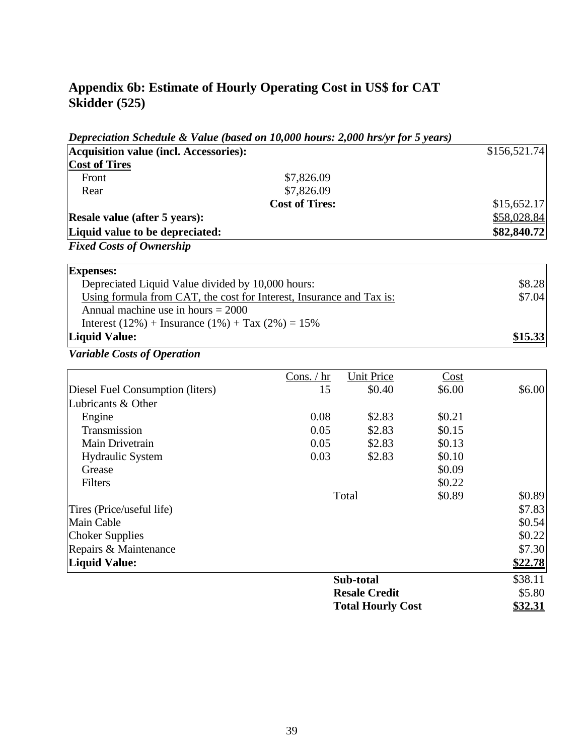# **Appendix 6b: Estimate of Hourly Operating Cost in US\$ for CAT Skidder (525)**

|                                        | Depreciation Schedule & Value (based on 10,000 hours: 2,000 hrs/yr for 5 years) |             |
|----------------------------------------|---------------------------------------------------------------------------------|-------------|
| Acquisition value (incl. Accessories): | \$156,521.74                                                                    |             |
| <b>Cost of Tires</b>                   |                                                                                 |             |
| Front                                  | \$7,826.09                                                                      |             |
| Rear                                   | \$7,826.09                                                                      |             |
|                                        | <b>Cost of Tires:</b>                                                           | \$15,652.17 |
| <b>Resale value (after 5 years):</b>   |                                                                                 | \$58,028.84 |
| Liquid value to be depreciated:        |                                                                                 | \$82,840.72 |
| <b>Fixed Costs of Ownership</b>        |                                                                                 |             |
| <b>Expenses:</b>                       |                                                                                 |             |
|                                        | Depreciated Liquid Value divided by 10,000 hours:                               | \$8.28      |
|                                        | Using formula from CAT, the cost for Interest, Insurance and Tax is:            | \$7.04      |

| Annual machine use in hours $= 2000$                      |         |
|-----------------------------------------------------------|---------|
| Interest $(12\%)$ + Insurance $(1\%)$ + Tax $(2\%)$ = 15% |         |
| <b>Liquid Value:</b>                                      | \$15.33 |

|                                  | Cons. $/$ hr | <b>Unit Price</b>        | Cost   |         |
|----------------------------------|--------------|--------------------------|--------|---------|
| Diesel Fuel Consumption (liters) | 15           | \$0.40                   | \$6.00 | \$6.00  |
| Lubricants & Other               |              |                          |        |         |
| Engine                           | 0.08         | \$2.83                   | \$0.21 |         |
| Transmission                     | 0.05         | \$2.83                   | \$0.15 |         |
| Main Drivetrain                  | 0.05         | \$2.83                   | \$0.13 |         |
| <b>Hydraulic System</b>          | 0.03         | \$2.83                   | \$0.10 |         |
| Grease                           |              |                          | \$0.09 |         |
| Filters                          |              |                          | \$0.22 |         |
|                                  |              | Total                    | \$0.89 | \$0.89  |
| Tires (Price/useful life)        |              |                          |        | \$7.83  |
| Main Cable                       |              |                          |        | \$0.54  |
| <b>Choker Supplies</b>           |              |                          |        | \$0.22  |
| Repairs & Maintenance            |              |                          |        | \$7.30  |
| Liquid Value:                    |              |                          |        | \$22.78 |
|                                  |              | Sub-total                |        | \$38.11 |
|                                  |              | <b>Resale Credit</b>     |        | \$5.80  |
|                                  |              | <b>Total Hourly Cost</b> |        | \$32.31 |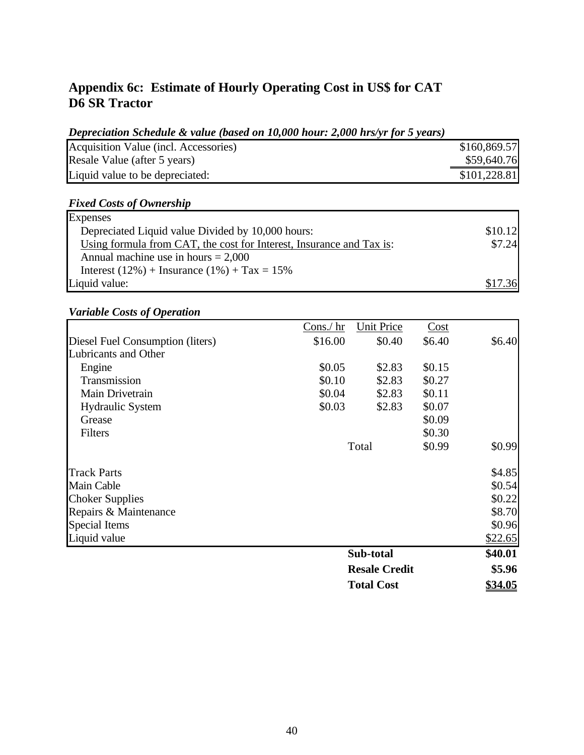# **Appendix 6c: Estimate of Hourly Operating Cost in US\$ for CAT D6 SR Tractor**

### *Depreciation Schedule & value (based on 10,000 hour: 2,000 hrs/yr for 5 years)*

| Acquisition Value (incl. Accessories) |  |  |  | \$160,869.57 |
|---------------------------------------|--|--|--|--------------|
| Resale Value (after 5 years)          |  |  |  | \$59,640.76  |
| Liquid value to be depreciated:       |  |  |  | \$101,228.81 |

## *Fixed Costs of Ownership*

| <b>Expenses</b>                                                      |         |
|----------------------------------------------------------------------|---------|
| Depreciated Liquid value Divided by 10,000 hours:                    | \$10.12 |
| Using formula from CAT, the cost for Interest, Insurance and Tax is: | \$7.24  |
| Annual machine use in hours $= 2,000$                                |         |
| Interest (12%) + Insurance (1%) + Tax = $15\%$                       |         |
| Liquid value:                                                        | \$17.36 |

|                                  | Cons./ hr | Unit Price           | Cost   |         |
|----------------------------------|-----------|----------------------|--------|---------|
| Diesel Fuel Consumption (liters) | \$16.00   | \$0.40               | \$6.40 | \$6.40  |
| Lubricants and Other             |           |                      |        |         |
| Engine                           | \$0.05    | \$2.83               | \$0.15 |         |
| Transmission                     | \$0.10    | \$2.83               | \$0.27 |         |
| Main Drivetrain                  | \$0.04    | \$2.83               | \$0.11 |         |
| <b>Hydraulic System</b>          | \$0.03    | \$2.83               | \$0.07 |         |
| Grease                           |           |                      | \$0.09 |         |
| Filters                          |           |                      | \$0.30 |         |
|                                  |           | Total                | \$0.99 | \$0.99  |
| <b>Track Parts</b>               |           |                      |        | \$4.85  |
| Main Cable                       |           |                      |        | \$0.54  |
| <b>Choker Supplies</b>           |           |                      |        | \$0.22  |
| Repairs & Maintenance            |           |                      |        | \$8.70  |
| Special Items                    |           |                      |        | \$0.96  |
| Liquid value                     |           |                      |        | \$22.65 |
|                                  |           | Sub-total            |        | \$40.01 |
|                                  |           | <b>Resale Credit</b> |        | \$5.96  |
|                                  |           | <b>Total Cost</b>    |        | \$34.05 |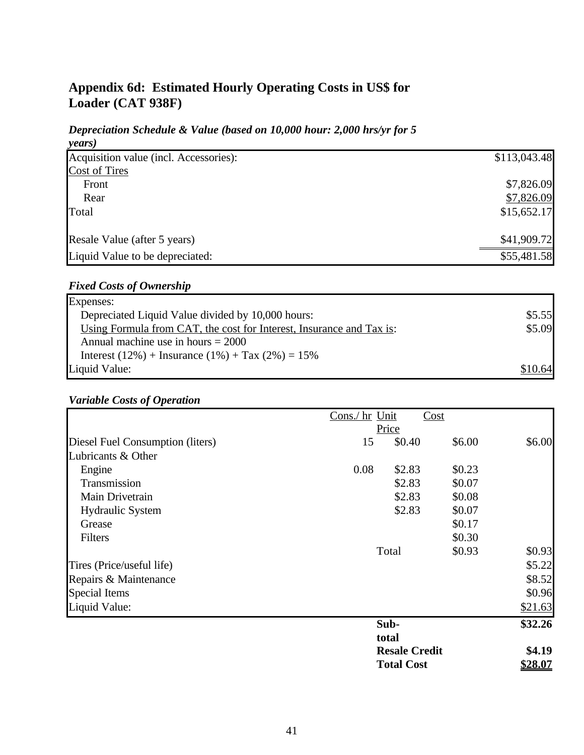# **Appendix 6d: Estimated Hourly Operating Costs in US\$ for Loader (CAT 938F)**

### *Depreciation Schedule & Value (based on 10,000 hour: 2,000 hrs/yr for 5 years)*

| Acquisition value (incl. Accessories): | \$113,043.48 |
|----------------------------------------|--------------|
| <b>Cost of Tires</b>                   |              |
| Front                                  | \$7,826.09   |
| Rear                                   | \$7,826.09   |
| Total                                  | \$15,652.17  |
| Resale Value (after 5 years)           | \$41,909.72  |
| Liquid Value to be depreciated:        | \$55,481.58  |

## *Fixed Costs of Ownership*

| Expenses:                                                            |         |
|----------------------------------------------------------------------|---------|
| Depreciated Liquid Value divided by 10,000 hours:                    | \$5.55  |
| Using Formula from CAT, the cost for Interest, Insurance and Tax is: | \$5.09  |
| Annual machine use in hours $= 2000$                                 |         |
| Interest $(12\%)$ + Insurance $(1\%)$ + Tax $(2\%)$ = 15%            |         |
| Liquid Value:                                                        | \$10.64 |

|                                  | Cons./ hr Unit | Cost                 |        |         |
|----------------------------------|----------------|----------------------|--------|---------|
|                                  |                | Price                |        |         |
| Diesel Fuel Consumption (liters) | 15             | \$0.40               | \$6.00 | \$6.00  |
| Lubricants & Other               |                |                      |        |         |
| Engine                           | 0.08           | \$2.83               | \$0.23 |         |
| Transmission                     |                | \$2.83               | \$0.07 |         |
| Main Drivetrain                  |                | \$2.83               | \$0.08 |         |
| <b>Hydraulic System</b>          |                | \$2.83               | \$0.07 |         |
| Grease                           |                |                      | \$0.17 |         |
| Filters                          |                |                      | \$0.30 |         |
|                                  |                | Total                | \$0.93 | \$0.93  |
| Tires (Price/useful life)        |                |                      |        | \$5.22  |
| Repairs & Maintenance            |                |                      |        | \$8.52  |
| <b>Special Items</b>             |                |                      |        | \$0.96  |
| Liquid Value:                    |                |                      |        | \$21.63 |
|                                  |                | Sub-                 |        | \$32.26 |
|                                  |                | total                |        |         |
|                                  |                | <b>Resale Credit</b> |        | \$4.19  |
|                                  |                | <b>Total Cost</b>    |        | \$28.07 |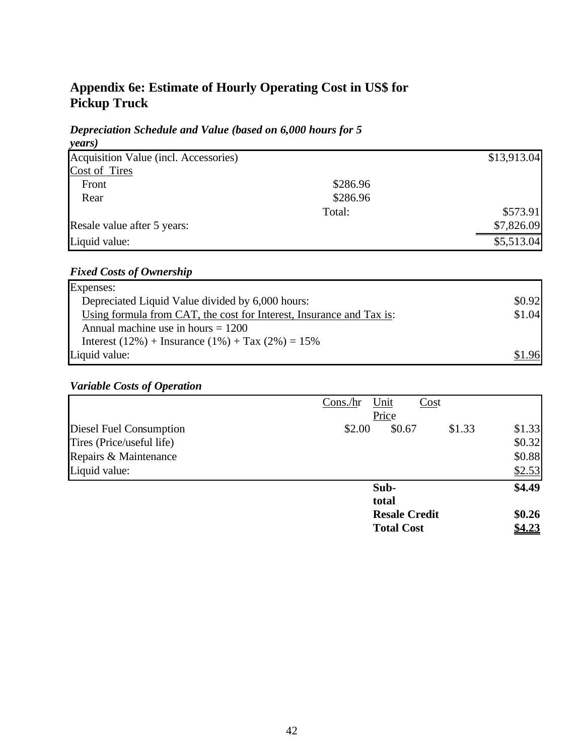# **Appendix 6e: Estimate of Hourly Operating Cost in US\$ for Pickup Truck**

#### *Depreciation Schedule and Value (based on 6,000 hours for 5 years)*

| years)                                |          |             |
|---------------------------------------|----------|-------------|
| Acquisition Value (incl. Accessories) |          | \$13,913.04 |
| Cost of Tires                         |          |             |
| Front                                 | \$286.96 |             |
| Rear                                  | \$286.96 |             |
|                                       | Total:   | \$573.91    |
| Resale value after 5 years:           |          | \$7,826.09  |
| Liquid value:                         |          | \$5,513.04  |

## *Fixed Costs of Ownership*

| Expenses:                                                            |        |
|----------------------------------------------------------------------|--------|
| Depreciated Liquid Value divided by 6,000 hours:                     | \$0.92 |
| Using formula from CAT, the cost for Interest, Insurance and Tax is: | \$1.04 |
| Annual machine use in hours $= 1200$                                 |        |
| Interest (12%) + Insurance (1%) + Tax (2%) = $15\%$                  |        |
| Liquid value:                                                        | \$1.96 |

|                           | Unit<br>Cost<br>Cons/hr<br>Price |        |
|---------------------------|----------------------------------|--------|
| Diesel Fuel Consumption   | \$2.00<br>\$0.67<br>\$1.33       | \$1.33 |
| Tires (Price/useful life) |                                  | \$0.32 |
| Repairs & Maintenance     |                                  | \$0.88 |
| Liquid value:             |                                  | \$2.53 |
|                           | Sub-                             | \$4.49 |
|                           | total                            |        |
|                           | <b>Resale Credit</b>             | \$0.26 |
|                           | <b>Total Cost</b>                | \$4.23 |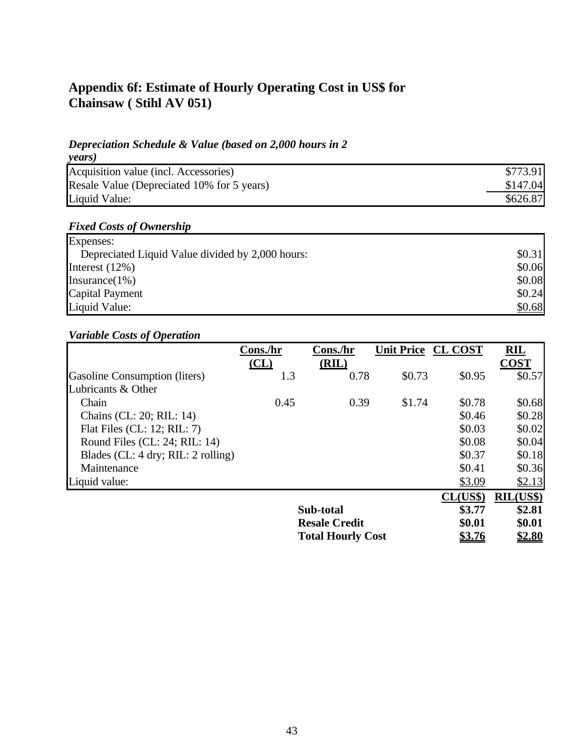# **Appendix 6f: Estimate of Hourly Operating Cost in US\$ for Chainsaw ( Stihl AV 051)**

## *Depreciation Schedule & Value (based on 2,000 hours in 2*

| years)                                     |          |
|--------------------------------------------|----------|
| Acquisition value (incl. Accessories)      | \$773.91 |
| Resale Value (Depreciated 10% for 5 years) | \$147.04 |
| Liquid Value:                              | \$626.87 |

## *Fixed Costs of Ownership*

| Expenses:                                        |        |
|--------------------------------------------------|--------|
| Depreciated Liquid Value divided by 2,000 hours: | \$0.31 |
| Interest $(12\%)$                                | \$0.06 |
| Insurance $(1\%)$                                | \$0.08 |
| <b>Capital Payment</b>                           | \$0.24 |
| Liquid Value:                                    | \$0.68 |

|                                      | Cons./hr | Cons./hr                 | Unit Price CL COST |               | $\mathbf{R}\mathbf{I}\mathbf{L}$ |
|--------------------------------------|----------|--------------------------|--------------------|---------------|----------------------------------|
|                                      | CL       | (RIL)                    |                    |               | <b>COST</b>                      |
| <b>Gasoline Consumption (liters)</b> | 1.3      | 0.78                     | \$0.73             | \$0.95        | \$0.57                           |
| Lubricants & Other                   |          |                          |                    |               |                                  |
| Chain                                | 0.45     | 0.39                     | \$1.74             | \$0.78        | \$0.68                           |
| Chains (CL: 20; RIL: 14)             |          |                          |                    | \$0.46        | \$0.28                           |
| Flat Files (CL: 12; RIL: 7)          |          |                          |                    | \$0.03        | \$0.02                           |
| Round Files (CL: 24; RIL: $14$ )     |          |                          |                    | \$0.08        | \$0.04                           |
| Blades (CL: 4 dry; RIL: 2 rolling)   |          |                          |                    | \$0.37        | \$0.18                           |
| Maintenance                          |          |                          |                    | \$0.41        | \$0.36                           |
| Liquid value:                        |          |                          |                    | \$3.09        | \$2.13                           |
|                                      |          |                          |                    | CL(US\$)      | $\text{RIL}(US\$                 |
|                                      |          | Sub-total                |                    | \$3.77        | \$2.81                           |
|                                      |          | <b>Resale Credit</b>     |                    | \$0.01        | \$0.01                           |
|                                      |          | <b>Total Hourly Cost</b> |                    | <u>\$3.76</u> | \$2.80                           |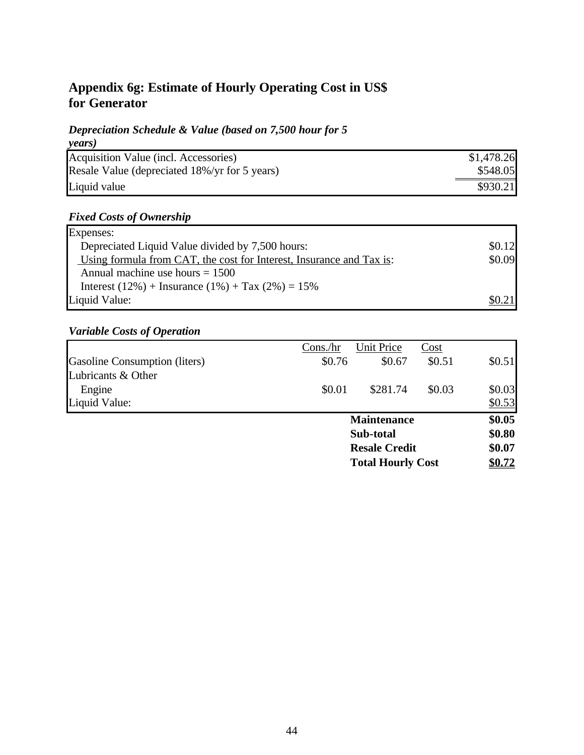# **Appendix 6g: Estimate of Hourly Operating Cost in US\$ for Generator**

## *Depreciation Schedule & Value (based on 7,500 hour for 5*

| years)                                        |            |
|-----------------------------------------------|------------|
| Acquisition Value (incl. Accessories)         | \$1,478.26 |
| Resale Value (depreciated 18%/yr for 5 years) | \$548.05   |
| Liquid value                                  | \$930.21   |

## *Fixed Costs of Ownership*

| Expenses:                                                            |        |
|----------------------------------------------------------------------|--------|
| Depreciated Liquid Value divided by 7,500 hours:                     | \$0.12 |
| Using formula from CAT, the cost for Interest, Insurance and Tax is: | \$0.09 |
| Annual machine use hours $= 1500$                                    |        |
| Interest $(12\%)$ + Insurance $(1\%)$ + Tax $(2\%)$ = 15%            |        |
| Liquid Value:                                                        | \$0.21 |

|                               | Cons/hr   | Unit Price               | Cost   |        |
|-------------------------------|-----------|--------------------------|--------|--------|
| Gasoline Consumption (liters) | \$0.76    | \$0.67                   | \$0.51 | \$0.51 |
| Lubricants & Other            |           |                          |        |        |
| Engine                        | \$0.01    | \$281.74                 | \$0.03 | \$0.03 |
| Liquid Value:                 |           |                          |        | \$0.53 |
|                               |           | <b>Maintenance</b>       |        | \$0.05 |
|                               | Sub-total |                          | \$0.80 |        |
|                               |           | <b>Resale Credit</b>     |        | \$0.07 |
|                               |           | <b>Total Hourly Cost</b> |        | \$0.72 |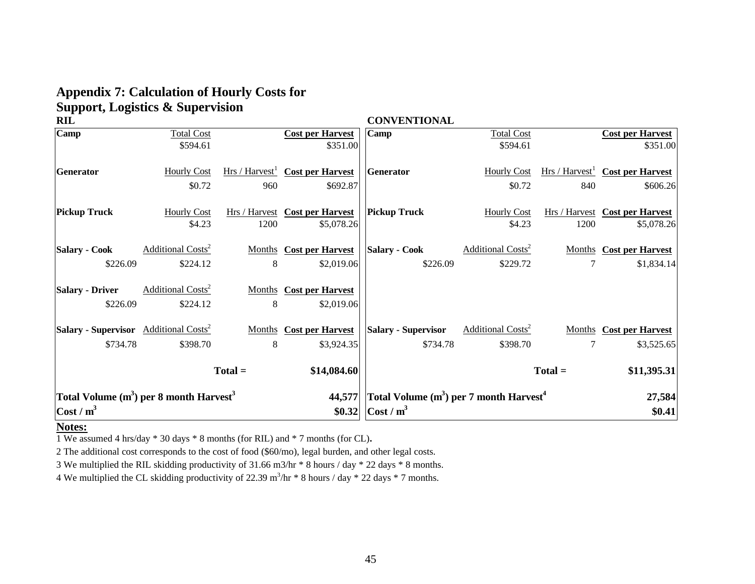# **Appendix 7: Calculation of Hourly Costs for Support, Logistics & Supervision**

| <b>RIL</b>                                               |                                     |                            |                                       | <b>CONVENTIONAL</b>                                   |                                     |           |                                       |
|----------------------------------------------------------|-------------------------------------|----------------------------|---------------------------------------|-------------------------------------------------------|-------------------------------------|-----------|---------------------------------------|
| Camp                                                     | <b>Total Cost</b>                   |                            | <b>Cost per Harvest</b>               | Camp                                                  | <b>Total Cost</b>                   |           | <b>Cost per Harvest</b>               |
|                                                          | \$594.61                            |                            | \$351.00                              |                                                       | \$594.61                            |           | \$351.00                              |
| Generator                                                | <b>Hourly Cost</b>                  | Hrs / Harvest <sup>1</sup> | <b>Cost per Harvest</b>               | Generator                                             | <b>Hourly Cost</b>                  |           | $Hrs / Harvest$ Cost per Harvest      |
|                                                          | \$0.72                              | 960                        | \$692.87                              |                                                       | \$0.72                              | 840       | \$606.26                              |
| <b>Pickup Truck</b>                                      | <b>Hourly Cost</b>                  |                            | <b>Hrs / Harvest</b> Cost per Harvest | <b>Pickup Truck</b>                                   | <b>Hourly Cost</b>                  |           | <b>Hrs / Harvest</b> Cost per Harvest |
|                                                          | \$4.23                              | 1200                       | \$5,078.26                            |                                                       | \$4.23                              | 1200      | \$5,078.26                            |
| <b>Salary - Cook</b>                                     | <b>Additional Costs<sup>2</sup></b> |                            | <b>Months</b> Cost per Harvest        | <b>Salary - Cook</b>                                  | <b>Additional Costs<sup>2</sup></b> |           | <b>Months</b> Cost per Harvest        |
| \$226.09                                                 | \$224.12                            | 8                          | \$2,019.06                            | \$226.09                                              | \$229.72                            | 7         | \$1,834.14                            |
| <b>Salary - Driver</b>                                   | <b>Additional Costs<sup>2</sup></b> |                            | <b>Months</b> Cost per Harvest        |                                                       |                                     |           |                                       |
| \$226.09                                                 | \$224.12                            | 8                          | \$2,019.06                            |                                                       |                                     |           |                                       |
| <b>Salary - Supervisor</b> Additional Costs <sup>2</sup> |                                     |                            | <b>Months</b> Cost per Harvest        | <b>Salary - Supervisor</b>                            | <b>Additional Costs<sup>2</sup></b> |           | <b>Months</b> Cost per Harvest        |
| \$734.78                                                 | \$398.70                            | 8                          | \$3,924.35                            | \$734.78                                              | \$398.70                            | 7         | \$3,525.65                            |
|                                                          |                                     | $Total =$                  | \$14,084.60                           |                                                       |                                     | $Total =$ | \$11,395.31                           |
| Total Volume $(m^3)$ per 8 month Harvest <sup>3</sup>    |                                     |                            | 44,577                                | Total Volume $(m^3)$ per 7 month Harvest <sup>4</sup> |                                     |           | 27,584                                |
| $\cot / m^3$                                             |                                     |                            | \$0.32                                | $\vert$ Cost / m <sup>3</sup>                         |                                     |           | \$0.41                                |

## **Notes:**

1 We assumed 4 hrs/day \* 30 days \* 8 months (for RIL) and \* 7 months (for CL)**.**

2 The additional cost corresponds to the cost of food (\$60/mo), legal burden, and other legal costs.

3 We multiplied the RIL skidding productivity of 31.66 m3/hr \* 8 hours / day \* 22 days \* 8 months.

4 We multiplied the CL skidding productivity of 22.39  $m^3/nr * 8$  hours / day  $*$  22 days  $*$  7 months.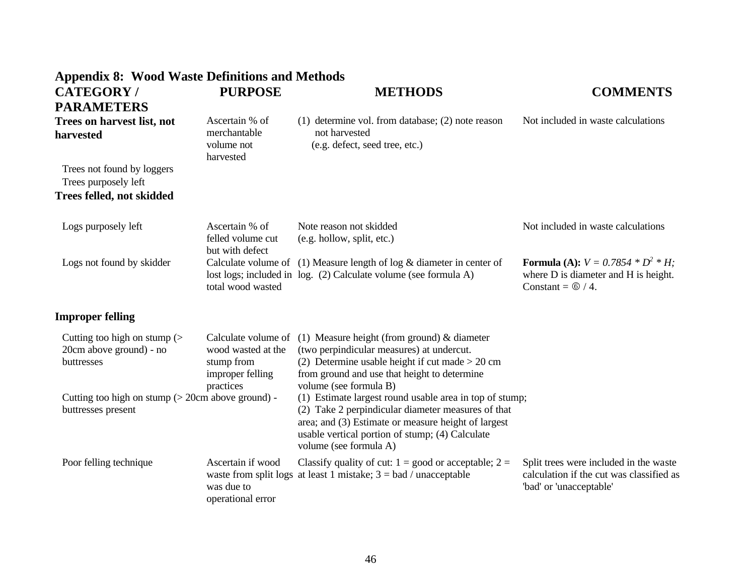| <b>Appendix 8: Wood Waste Definitions and Methods</b>                      |                                                                   |                                                                                                                                                                                                                                                   |                                                                                                                       |
|----------------------------------------------------------------------------|-------------------------------------------------------------------|---------------------------------------------------------------------------------------------------------------------------------------------------------------------------------------------------------------------------------------------------|-----------------------------------------------------------------------------------------------------------------------|
| <b>CATEGORY/</b>                                                           | <b>PURPOSE</b>                                                    | <b>METHODS</b>                                                                                                                                                                                                                                    | <b>COMMENTS</b>                                                                                                       |
| <b>PARAMETERS</b>                                                          |                                                                   |                                                                                                                                                                                                                                                   |                                                                                                                       |
| Trees on harvest list, not<br>harvested                                    | Ascertain % of<br>merchantable<br>volume not<br>harvested         | $(1)$ determine vol. from database; $(2)$ note reason<br>not harvested<br>(e.g. defect, seed tree, etc.)                                                                                                                                          | Not included in waste calculations                                                                                    |
| Trees not found by loggers<br>Trees purposely left                         |                                                                   |                                                                                                                                                                                                                                                   |                                                                                                                       |
| <b>Trees felled, not skidded</b>                                           |                                                                   |                                                                                                                                                                                                                                                   |                                                                                                                       |
| Logs purposely left                                                        | Ascertain % of<br>felled volume cut<br>but with defect            | Note reason not skidded<br>(e.g. hollow, split, etc.)                                                                                                                                                                                             | Not included in waste calculations                                                                                    |
| Logs not found by skidder                                                  | total wood wasted                                                 | Calculate volume of $(1)$ Measure length of log & diameter in center of<br>lost logs; included in log. (2) Calculate volume (see formula A)                                                                                                       | <b>Formula (A):</b> $V = 0.7854 * D^2 * H$ ;<br>where D is diameter and H is height.<br>Constant = $\circled{0}$ / 4. |
| <b>Improper felling</b>                                                    |                                                                   |                                                                                                                                                                                                                                                   |                                                                                                                       |
| Cutting too high on stump $($<br>20cm above ground) - no<br>buttresses     | wood wasted at the<br>stump from<br>improper felling<br>practices | Calculate volume of $(1)$ Measure height (from ground) & diameter<br>(two perpindicular measures) at undercut.<br>(2) Determine usable height if cut made $> 20$ cm<br>from ground and use that height to determine<br>volume (see formula B)     |                                                                                                                       |
| Cutting too high on stump $($ > 20cm above ground) -<br>buttresses present |                                                                   | (1) Estimate largest round usable area in top of stump;<br>(2) Take 2 perpindicular diameter measures of that<br>area; and (3) Estimate or measure height of largest<br>usable vertical portion of stump; (4) Calculate<br>volume (see formula A) |                                                                                                                       |
| Poor felling technique                                                     | Ascertain if wood<br>was due to<br>operational error              | Classify quality of cut: $1 = \text{good or acceptable}$ ; $2 =$<br>waste from split logs at least 1 mistake; $3 = bad / unacceptable$                                                                                                            | Split trees were included in the waste<br>calculation if the cut was classified as<br>'bad' or 'unacceptable'         |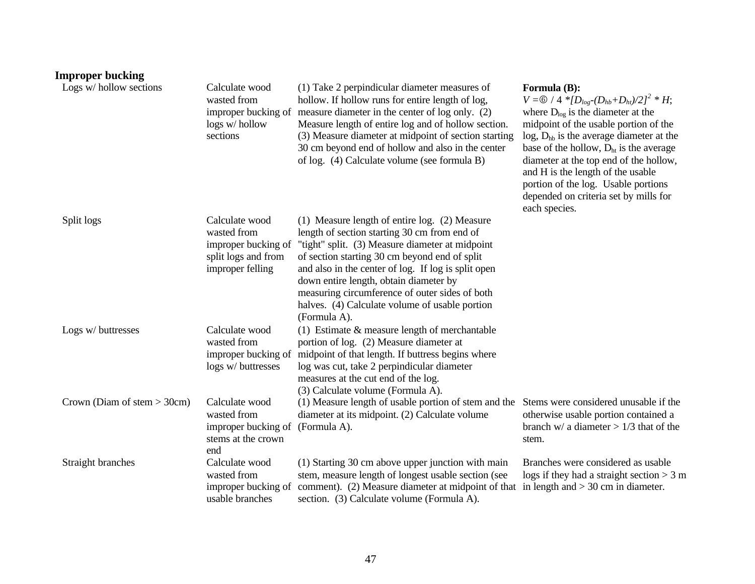| <b>Improper bucking</b>       |                                                                                                 |                                                                                                                                                                                                                                                                                                                                                                                                                        |                                                                                                                                                                                                                                                                                                                                                                                                                                                           |
|-------------------------------|-------------------------------------------------------------------------------------------------|------------------------------------------------------------------------------------------------------------------------------------------------------------------------------------------------------------------------------------------------------------------------------------------------------------------------------------------------------------------------------------------------------------------------|-----------------------------------------------------------------------------------------------------------------------------------------------------------------------------------------------------------------------------------------------------------------------------------------------------------------------------------------------------------------------------------------------------------------------------------------------------------|
| Logs w/ hollow sections       | Calculate wood<br>wasted from<br>improper bucking of<br>logs w/hollow<br>sections               | (1) Take 2 perpindicular diameter measures of<br>hollow. If hollow runs for entire length of log,<br>measure diameter in the center of log only. (2)<br>Measure length of entire log and of hollow section.<br>(3) Measure diameter at midpoint of section starting<br>30 cm beyond end of hollow and also in the center<br>of log. (4) Calculate volume (see formula B)                                               | Formula (B):<br>$V = \textcircled{6}$ / 4 * $[D_{log}-(D_{hb}+D_{ht})/2]^2$ * H;<br>where $D_{\text{log}}$ is the diameter at the<br>midpoint of the usable portion of the<br>$log$ , $D_{hb}$ is the average diameter at the<br>base of the hollow, $Dht$ is the average<br>diameter at the top end of the hollow,<br>and H is the length of the usable<br>portion of the log. Usable portions<br>depended on criteria set by mills for<br>each species. |
| Split logs                    | Calculate wood<br>wasted from<br>improper bucking of<br>split logs and from<br>improper felling | (1) Measure length of entire log. (2) Measure<br>length of section starting 30 cm from end of<br>"tight" split. (3) Measure diameter at midpoint<br>of section starting 30 cm beyond end of split<br>and also in the center of log. If log is split open<br>down entire length, obtain diameter by<br>measuring circumference of outer sides of both<br>halves. (4) Calculate volume of usable portion<br>(Formula A). |                                                                                                                                                                                                                                                                                                                                                                                                                                                           |
| Logs w/ buttresses            | Calculate wood<br>wasted from<br>improper bucking of<br>logs w/ buttresses                      | (1) Estimate $&$ measure length of merchantable<br>portion of log. (2) Measure diameter at<br>midpoint of that length. If buttress begins where<br>log was cut, take 2 perpindicular diameter<br>measures at the cut end of the log.<br>(3) Calculate volume (Formula A).                                                                                                                                              |                                                                                                                                                                                                                                                                                                                                                                                                                                                           |
| Crown (Diam of stem $>$ 30cm) | Calculate wood<br>wasted from<br>improper bucking of<br>stems at the crown<br>end               | (1) Measure length of usable portion of stem and the Stems were considered unusable if the<br>diameter at its midpoint. (2) Calculate volume<br>(Formula A).                                                                                                                                                                                                                                                           | otherwise usable portion contained a<br>branch w/ a diameter $> 1/3$ that of the<br>stem.                                                                                                                                                                                                                                                                                                                                                                 |
| Straight branches             | Calculate wood<br>wasted from<br>improper bucking of<br>usable branches                         | (1) Starting 30 cm above upper junction with main<br>stem, measure length of longest usable section (see<br>comment). (2) Measure diameter at midpoint of that in length and $>$ 30 cm in diameter.<br>section. (3) Calculate volume (Formula A).                                                                                                                                                                      | Branches were considered as usable<br>logs if they had a straight section $> 3$ m                                                                                                                                                                                                                                                                                                                                                                         |